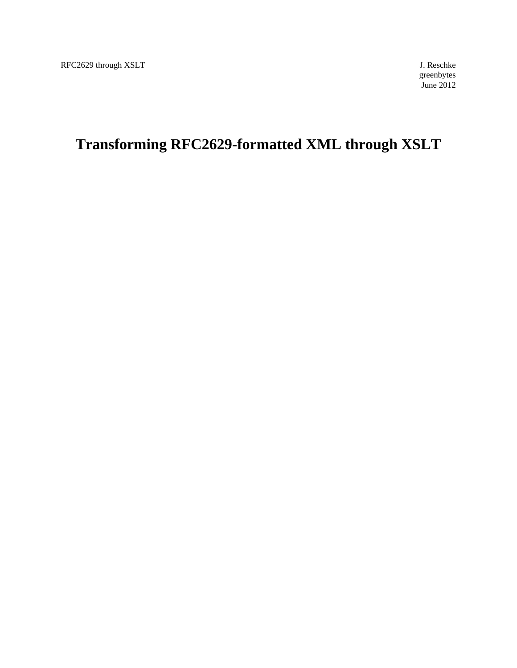greenbytes June 2012

# **Transforming RFC2629-formatted XML through XSLT**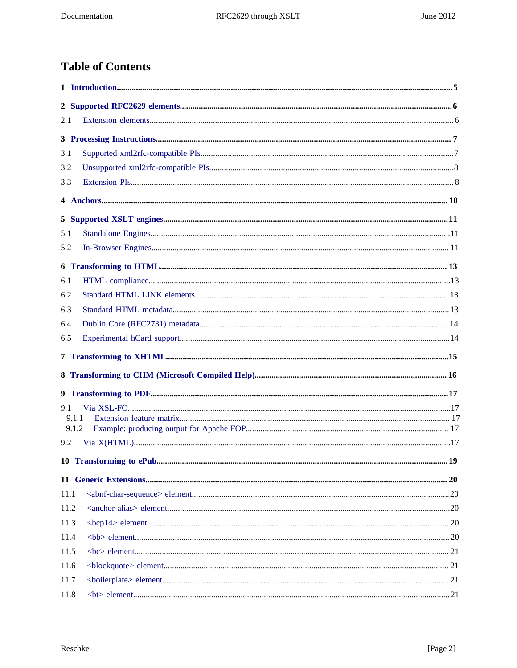# **Table of Contents**

| 2.1  |       |  |
|------|-------|--|
|      |       |  |
| 3.1  |       |  |
| 3.2  |       |  |
| 3.3  |       |  |
|      |       |  |
|      |       |  |
| 5.1  |       |  |
| 5.2  |       |  |
|      |       |  |
| 6.1  |       |  |
| 6.2  |       |  |
| 6.3  |       |  |
| 6.4  |       |  |
| 6.5  |       |  |
|      |       |  |
|      |       |  |
|      |       |  |
| 9.1  |       |  |
|      | 9.1.1 |  |
|      | 9.1.2 |  |
| 9.2  |       |  |
|      |       |  |
|      |       |  |
| 11.1 |       |  |
| 11.2 |       |  |
| 11.3 |       |  |
| 11.4 |       |  |
| 11.5 |       |  |
| 11.6 |       |  |
| 11.7 |       |  |
| 11.8 | $21$  |  |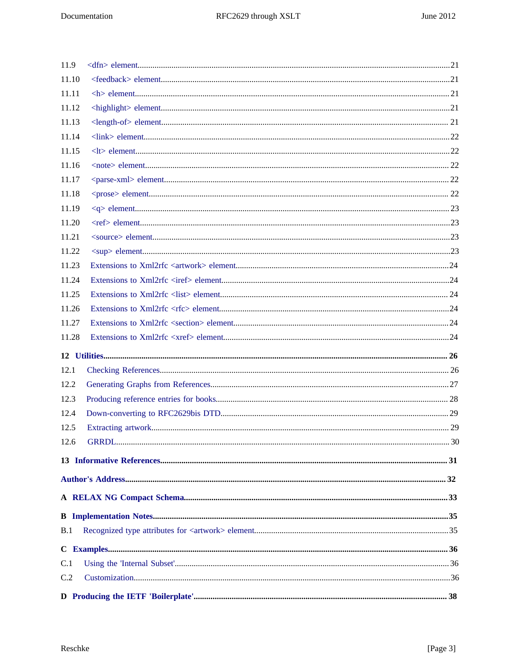| 11.9  |  |
|-------|--|
| 11.10 |  |
| 11.11 |  |
| 11.12 |  |
| 11.13 |  |
| 11.14 |  |
| 11.15 |  |
| 11.16 |  |
| 11.17 |  |
| 11.18 |  |
| 11.19 |  |
| 11.20 |  |
| 11.21 |  |
| 11.22 |  |
| 11.23 |  |
| 11.24 |  |
| 11.25 |  |
| 11.26 |  |
| 11.27 |  |
| 11.28 |  |
|       |  |
| 12.1  |  |
| 12.2  |  |
| 12.3  |  |
| 12.4  |  |
| 12.5  |  |
| 12.6  |  |
|       |  |
|       |  |
|       |  |
|       |  |
|       |  |
| B.1   |  |
|       |  |
| C.1   |  |
| C.2   |  |
|       |  |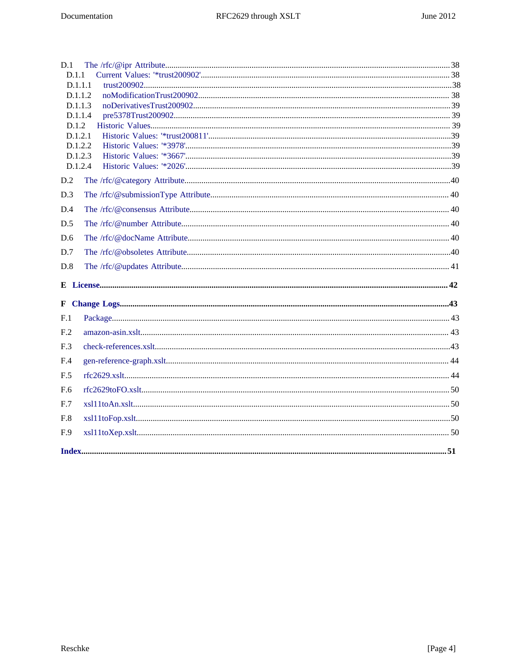| F.9                |  |
|--------------------|--|
| F.8                |  |
| F.7                |  |
| F.6                |  |
| F.5                |  |
| F.4                |  |
| F.3                |  |
| F <sub>.2</sub>    |  |
| F <sub>.1</sub>    |  |
|                    |  |
|                    |  |
|                    |  |
| D.8                |  |
| D.7                |  |
| D.6                |  |
| D.5                |  |
| D.4                |  |
| D.3                |  |
| D.2                |  |
|                    |  |
| D.1.2.3<br>D.1.2.4 |  |
| D.1.2.2            |  |
| D.1.2.1            |  |
| D.1.2              |  |
| D.1.1.4            |  |
| D.1.1.2<br>D.1.1.3 |  |
| D.1.1.1            |  |
| D.1.1              |  |
| D.1                |  |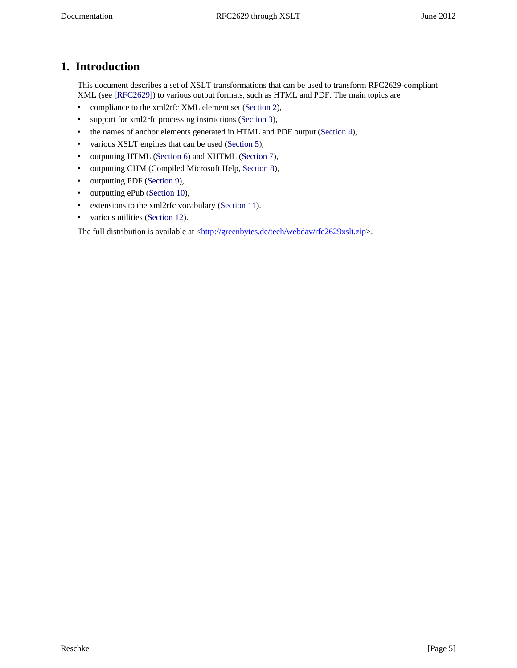# <span id="page-4-0"></span>**1. Introduction**

<span id="page-4-1"></span>This document describes a set of XSLT transformations that can be used to transform RFC2629-compliant XML (see [\[RFC2629\]\)](#page-30-1) to various output formats, such as HTML and PDF. The main topics are

- compliance to the xml2rfc XML element set ([Section 2](#page-5-0)),
- support for xml2rfc processing instructions ([Section 3](#page-6-0)),
- the names of anchor elements generated in HTML and PDF output [\(Section 4\)](#page-9-0),
- various XSLT engines that can be used [\(Section 5\)](#page-10-0),
- outputting HTML ([Section 6](#page-12-0)) and XHTML [\(Section 7\)](#page-14-0),
- outputting CHM (Compiled Microsoft Help, [Section 8](#page-15-0)),
- outputting PDF ([Section 9](#page-16-0)),
- outputting ePub [\(Section 10\)](#page-18-0),
- extensions to the xml2rfc vocabulary [\(Section 11\)](#page-19-0).
- various utilities ([Section 12](#page-25-0)).

The full distribution is available at [<http://greenbytes.de/tech/webdav/rfc2629xslt.zip>](http://greenbytes.de/tech/webdav/rfc2629xslt.zip).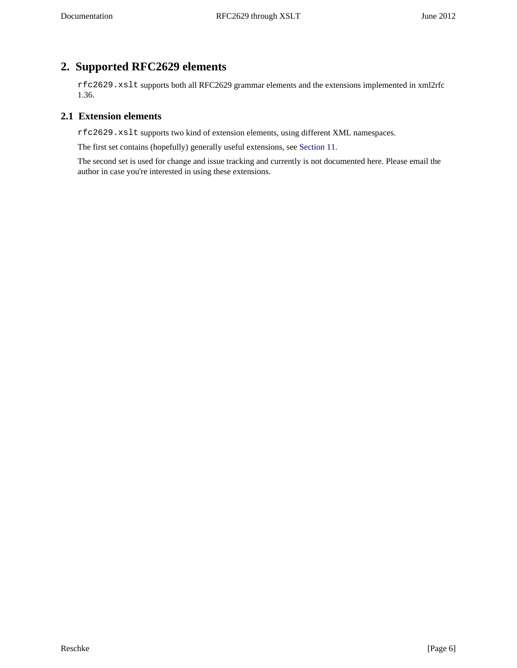# <span id="page-5-0"></span>**2. Supported RFC2629 elements**

rfc2629.xslt supports both all RFC2629 grammar elements and the extensions implemented in xml2rfc 1.36.

### <span id="page-5-1"></span>**2.1 Extension elements**

rfc2629.xslt supports two kind of extension elements, using different XML namespaces.

The first set contains (hopefully) generally useful extensions, see [Section 11](#page-19-0).

The second set is used for change and issue tracking and currently is not documented here. Please email the author in case you're interested in using these extensions.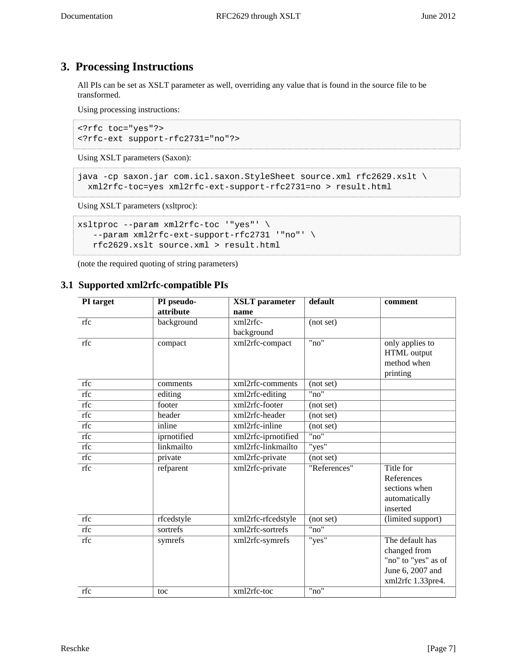# <span id="page-6-0"></span>**3. Processing Instructions**

All PIs can be set as XSLT parameter as well, overriding any value that is found in the source file to be transformed.

Using processing instructions:

```
<?rfc toc="yes"?>
<?rfc-ext support-rfc2731="no"?>
```
Using XSLT parameters (Saxon):

```
java -cp saxon.jar com.icl.saxon.StyleSheet source.xml rfc2629.xslt \
  xml2rfc-toc=yes xml2rfc-ext-support-rfc2731=no > result.html
```
<span id="page-6-3"></span>Using XSLT parameters (xsltproc):

```
xsltproc --param xml2rfc-toc '"yes"' \
    --param xml2rfc-ext-support-rfc2731 '"no"' \
   rfc2629.xslt source.xml > result.html
```
(note the required quoting of string parameters)

# <span id="page-6-1"></span>**3.1 Supported xml2rfc-compatible PIs**

<span id="page-6-2"></span>

| PI target | PI pseudo-  | <b>XSLT</b> parameter | default      | comment             |
|-----------|-------------|-----------------------|--------------|---------------------|
|           | attribute   | name                  |              |                     |
| rfc       | background  | xml2rfc-              | (not set)    |                     |
|           |             | background            |              |                     |
| rfc       | compact     | xml2rfc-compact       | "no"         | only applies to     |
|           |             |                       |              | HTML output         |
|           |             |                       |              | method when         |
|           |             |                       |              | printing            |
| rfc       | comments    | xml2rfc-comments      | (not set)    |                     |
| rfc       | editing     | xml2rfc-editing       | "no"         |                     |
| rfc       | footer      | xml2rfc-footer        | (not set)    |                     |
| rfc       | header      | xml2rfc-header        | (not set)    |                     |
| rfc       | inline      | xml2rfc-inline        | (not set)    |                     |
| rfc       | iprnotified | xml2rfc-iprnotified   | "no"         |                     |
| rfc       | linkmailto  | xml2rfc-linkmailto    | "yes"        |                     |
| rfc       | private     | xml2rfc-private       | (not set)    |                     |
| rfc       | refparent   | xml2rfc-private       | "References" | Title for           |
|           |             |                       |              | References          |
|           |             |                       |              | sections when       |
|           |             |                       |              | automatically       |
|           |             |                       |              | inserted            |
| rfc       | rfcedstyle  | xml2rfc-rfcedstyle    | (not set)    | (limited support)   |
| rfc       | sortrefs    | xml2rfc-sortrefs      | "no"         |                     |
| rfc       | symrefs     | xml2rfc-symrefs       | "yes"        | The default has     |
|           |             |                       |              | changed from        |
|           |             |                       |              | "no" to "yes" as of |
|           |             |                       |              | June 6, 2007 and    |
|           |             |                       |              | xml2rfc 1.33pre4.   |
| rfc       | toc         | xml2rfc-toc           | "no"         |                     |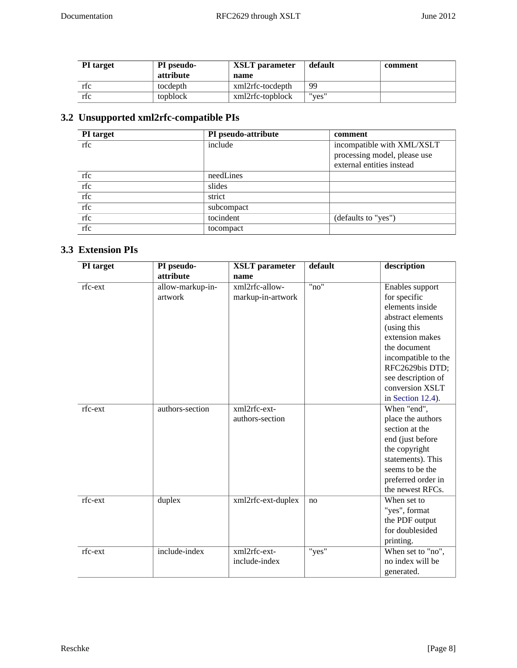| <b>PI</b> target | <b>PI</b> pseudo- | XSLT parameter   | default | comment |
|------------------|-------------------|------------------|---------|---------|
|                  | attribute         | name             |         |         |
| rtc              | tocdepth          | xml2rfc-tocdepth | 99      |         |
| rfc              | topblock          | xml2rfc-topblock | "ves"   |         |

# <span id="page-7-0"></span>**3.2 Unsupported xml2rfc-compatible PIs**

<span id="page-7-3"></span>

| PI target | PI pseudo-attribute | comment                      |
|-----------|---------------------|------------------------------|
| rfc       | include             | incompatible with XML/XSLT   |
|           |                     | processing model, please use |
|           |                     | external entities instead    |
| rfc       | needLines           |                              |
| rfc       | slides              |                              |
| rfc       | strict              |                              |
| rfc       | subcompact          |                              |
| rfc       | tocindent           | (defaults to "yes")          |
| rfc       | tocompact           |                              |

# <span id="page-7-1"></span>**3.3 Extension PIs**

<span id="page-7-2"></span>

| PI target | PI pseudo-       | <b>XSLT</b> parameter | default | description         |
|-----------|------------------|-----------------------|---------|---------------------|
|           | attribute        | name                  |         |                     |
| rfc-ext   | allow-markup-in- | xml2rfc-allow-        | "no"    | Enables support     |
|           | artwork          | markup-in-artwork     |         | for specific        |
|           |                  |                       |         | elements inside     |
|           |                  |                       |         | abstract elements   |
|           |                  |                       |         | (using this         |
|           |                  |                       |         | extension makes     |
|           |                  |                       |         | the document        |
|           |                  |                       |         | incompatible to the |
|           |                  |                       |         | RFC2629bis DTD;     |
|           |                  |                       |         | see description of  |
|           |                  |                       |         | conversion XSLT     |
|           |                  |                       |         | in Section 12.4).   |
| rfc-ext   | authors-section  | xml2rfc-ext-          |         | When "end",         |
|           |                  | authors-section       |         | place the authors   |
|           |                  |                       |         | section at the      |
|           |                  |                       |         | end (just before    |
|           |                  |                       |         | the copyright       |
|           |                  |                       |         | statements). This   |
|           |                  |                       |         | seems to be the     |
|           |                  |                       |         | preferred order in  |
|           |                  |                       |         | the newest RFCs.    |
| rfc-ext   | duplex           | xml2rfc-ext-duplex    | no      | When set to         |
|           |                  |                       |         | "yes", format       |
|           |                  |                       |         | the PDF output      |
|           |                  |                       |         | for doublesided     |
|           |                  |                       |         | printing.           |
| rfc-ext   | include-index    | xml2rfc-ext-          | "yes"   | When set to "no",   |
|           |                  | include-index         |         | no index will be    |
|           |                  |                       |         | generated.          |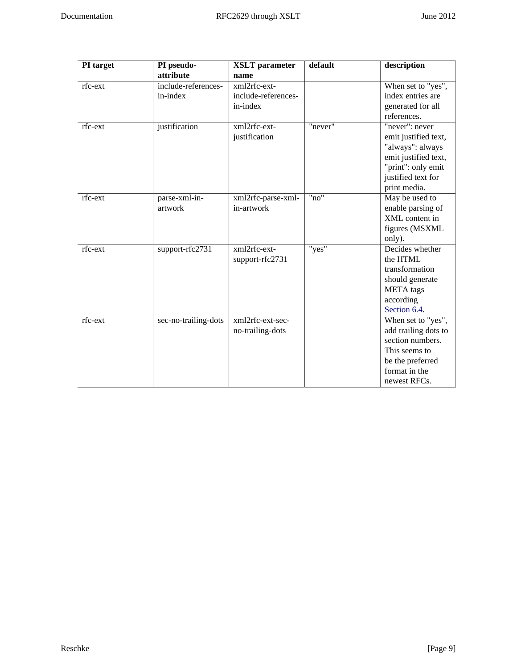| PI target | PI pseudo-           | <b>XSLT</b> parameter | default | description          |
|-----------|----------------------|-----------------------|---------|----------------------|
|           | attribute            | name                  |         |                      |
| rfc-ext   | include-references-  | xml2rfc-ext-          |         | When set to "yes",   |
|           | in-index             | include-references-   |         | index entries are    |
|           |                      | in-index              |         | generated for all    |
|           |                      |                       |         | references.          |
| rfc-ext   | justification        | xml2rfc-ext-          | "never" | "never": never       |
|           |                      | justification         |         | emit justified text, |
|           |                      |                       |         | "always": always     |
|           |                      |                       |         | emit justified text, |
|           |                      |                       |         | "print": only emit   |
|           |                      |                       |         | justified text for   |
|           |                      |                       |         | print media.         |
| rfc-ext   | parse-xml-in-        | xml2rfc-parse-xml-    | "no"    | May be used to       |
|           | artwork              | in-artwork            |         | enable parsing of    |
|           |                      |                       |         | XML content in       |
|           |                      |                       |         | figures (MSXML       |
|           |                      |                       |         | only).               |
| rfc-ext   | support-rfc2731      | xml2rfc-ext-          | "yes"   | Decides whether      |
|           |                      | support-rfc2731       |         | the HTML             |
|           |                      |                       |         | transformation       |
|           |                      |                       |         | should generate      |
|           |                      |                       |         | <b>META</b> tags     |
|           |                      |                       |         | according            |
|           |                      |                       |         | Section 6.4.         |
| rfc-ext   | sec-no-trailing-dots | xml2rfc-ext-sec-      |         | When set to "yes",   |
|           |                      | no-trailing-dots      |         | add trailing dots to |
|           |                      |                       |         | section numbers.     |
|           |                      |                       |         | This seems to        |
|           |                      |                       |         | be the preferred     |
|           |                      |                       |         | format in the        |
|           |                      |                       |         | newest RFCs.         |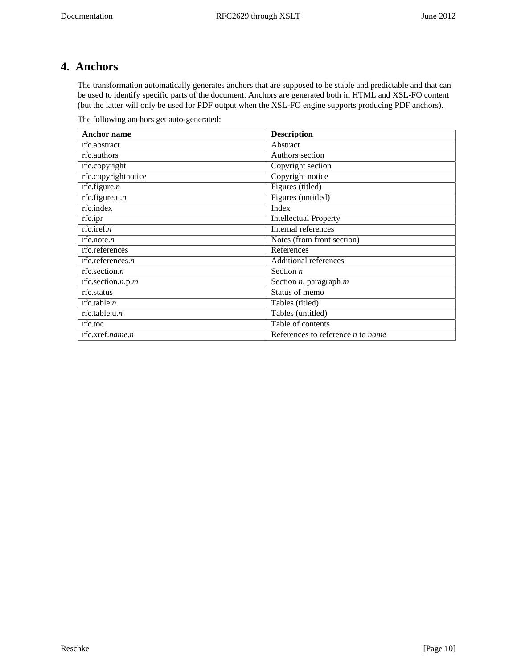# <span id="page-9-0"></span>**4. Anchors**

The transformation automatically generates anchors that are supposed to be stable and predictable and that can be used to identify specific parts of the document. Anchors are generated both in HTML and XSL-FO content (but the latter will only be used for PDF output when the XSL-FO engine supports producing PDF anchors).

<span id="page-9-1"></span>The following anchors get auto-generated:

| <b>Anchor name</b>  | <b>Description</b>                  |
|---------------------|-------------------------------------|
| rfc.abstract        | Abstract                            |
| rfc.authors         | Authors section                     |
| rfc.copyright       | Copyright section                   |
| rfc.copyrightnotice | Copyright notice                    |
| rfc.figure.n        | Figures (titled)                    |
| rfc.figure.u. $n$   | Figures (untitled)                  |
| rfc.index           | Index                               |
| rfc.ipr             | <b>Intellectual Property</b>        |
| rfc.iref.n          | Internal references                 |
| rfc.note.n          | Notes (from front section)          |
| rfc.references      | References                          |
| rfc.references. $n$ | <b>Additional references</b>        |
| rfc.section. $n$    | Section $n$                         |
| rfc.section.n.p.m   | Section $n$ , paragraph $m$         |
| rfc.status          | Status of memo                      |
| rfc.table. $n$      | Tables (titled)                     |
| rfc.table.u. $n$    | Tables (untitled)                   |
| rfc.toc             | Table of contents                   |
| rfc.xref.name.n     | References to reference $n$ to name |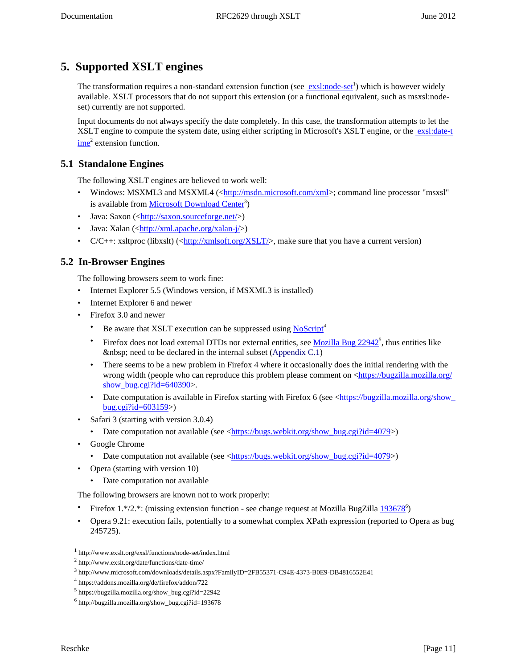# <span id="page-10-0"></span>**5. Supported XSLT engines**

The transformation requires a non-standard extension function (see **exsl:node-set**<sup>1</sup>) which is however widely available. XSLT processors that do not support this extension (or a functional equivalent, such as msxsl:nodeset) currently are not supported.

Input documents do not always specify the date completely. In this case, the transformation attempts to let the XSLT engine to compute the system date, using either scripting in Microsoft's XSLT engine, or the [exsl:date-t](http://www.exslt.org/date/functions/date-time/)  $\frac{\text{ime}}{\text{2}}$  $\frac{\text{ime}}{\text{2}}$  $\frac{\text{ime}}{\text{2}}$  extension function.

# <span id="page-10-1"></span>**5.1 Standalone Engines**

The following XSLT engines are believed to work well:

- <span id="page-10-8"></span>• Windows: MSXML3 and MSXML4 (<<http://msdn.microsoft.com/xml>>; command line processor "msxsl" is available from [Microsoft Download Center](http://www.microsoft.com/downloads/details.aspx?FamilyID=2FB55371-C94E-4373-B0E9-DB4816552E41)<sup>3</sup>)
- <span id="page-10-13"></span>• Java: Saxon  $(\langle \text{http://saxon.sourcefore.net/}\rangle)$
- <span id="page-10-14"></span>• Java: Xalan  $(\langle \frac{http://xml.apache.org/xalan-j}{\rangle})$
- $C/C++$ : xsltproc (libxslt)  $\langle \text{http://xmlsoft.org/XSLT/>}$  $\langle \text{http://xmlsoft.org/XSLT/>}$  $\langle \text{http://xmlsoft.org/XSLT/>}$ , make sure that you have a current version)

# <span id="page-10-2"></span>**5.2 In-Browser Engines**

The following browsers seem to work fine:

- <span id="page-10-6"></span>• Internet Explorer 5.5 (Windows version, if MSXML3 is installed)
- <span id="page-10-7"></span>• Internet Explorer 6 and newer
- <span id="page-10-9"></span><span id="page-10-4"></span>• Firefox 3.0 and newer
	- Be aware that XSLT execution can be suppressed using [NoScript](https://addons.mozilla.org/de/firefox/addon/722)<sup>4</sup>
	- Firefox does not load external DTDs nor external entities, see  $Mozilla Bug 22942^5$ , thus entities like need to be declared in the internal subset (Appendix  $C.1$ )
	- There seems to be a new problem in Firefox 4 where it occasionally does the initial rendering with the wrong width (people who can reproduce this problem please comment on <[https://bugzilla.mozilla.org/](https://bugzilla.mozilla.org/show_bug.cgi?id=640390) show bug.cgi?id= $640390$ >.
	- Date computation is available in Firefox starting with Firefox 6 (see <https://bugzilla.mozilla.org/show [bug.cgi?id=603159>](https://bugzilla.mozilla.org/show_bug.cgi?id=603159))
- <span id="page-10-12"></span>• Safari 3 (starting with version 3.0.4)
	- Date computation not available (see <[https://bugs.webkit.org/show\\_bug.cgi?id=4079>](https://bugs.webkit.org/show_bug.cgi?id=4079))
- <span id="page-10-5"></span>• Google Chrome
	- Date computation not available (see <[https://bugs.webkit.org/show\\_bug.cgi?id=4079>](https://bugs.webkit.org/show_bug.cgi?id=4079))
- <span id="page-10-10"></span>• Opera (starting with version 10)
	- Date computation not available

The following browsers are known not to work properly:

- <span id="page-10-3"></span>• Firefox 1.\*/2.\*: (missing extension function - see change request at Mozilla BugZilla  $193678^{\circ}$ )
- <span id="page-10-11"></span>• Opera 9.21: execution fails, potentially to a somewhat complex XPath expression (reported to Opera as bug 245725).

<sup>1</sup> http://www.exslt.org/exsl/functions/node-set/index.html

<sup>2</sup> http://www.exslt.org/date/functions/date-time/

<sup>3</sup> http://www.microsoft.com/downloads/details.aspx?FamilyID=2FB55371-C94E-4373-B0E9-DB4816552E41

<sup>4</sup> https://addons.mozilla.org/de/firefox/addon/722

<sup>5</sup> https://bugzilla.mozilla.org/show\_bug.cgi?id=22942

<sup>6</sup> http://bugzilla.mozilla.org/show\_bug.cgi?id=193678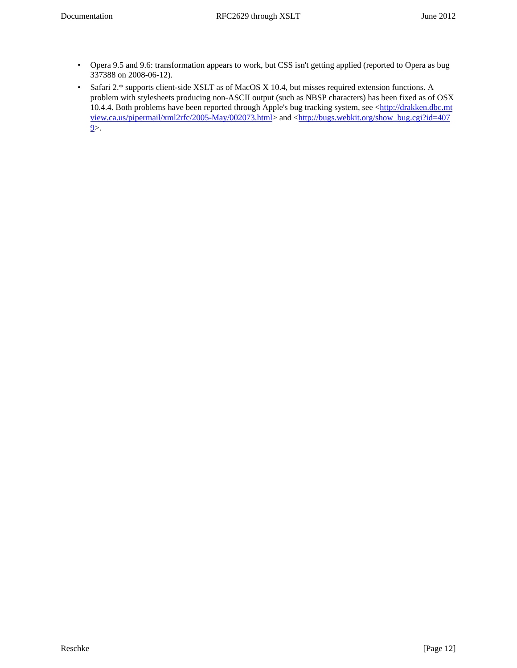- Opera 9.5 and 9.6: transformation appears to work, but CSS isn't getting applied (reported to Opera as bug 337388 on 2008-06-12).
- <span id="page-11-0"></span>• Safari 2.\* supports client-side XSLT as of MacOS X 10.4, but misses required extension functions. A problem with stylesheets producing non-ASCII output (such as NBSP characters) has been fixed as of OSX 10.4.4. Both problems have been reported through Apple's bug tracking system, see <[http://drakken.dbc.mt](http://drakken.dbc.mtview.ca.us/pipermail/xml2rfc/2005-May/002073.html) [view.ca.us/pipermail/xml2rfc/2005-May/002073.html>](http://drakken.dbc.mtview.ca.us/pipermail/xml2rfc/2005-May/002073.html) and <[http://bugs.webkit.org/show\\_bug.cgi?id=407](http://bugs.webkit.org/show_bug.cgi?id=4079)  $9$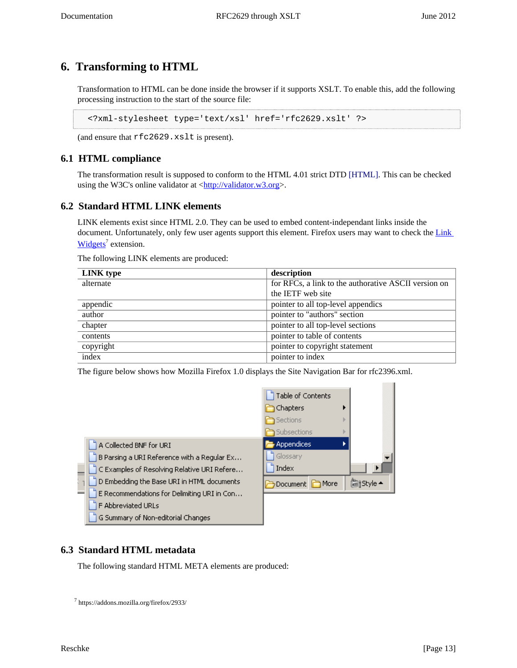# <span id="page-12-0"></span>**6. Transforming to HTML**

<span id="page-12-8"></span>Transformation to HTML can be done inside the browser if it supports XSLT. To enable this, add the following processing instruction to the start of the source file:

<span id="page-12-6"></span><?xml-stylesheet type='text/xsl' href='rfc2629.xslt' ?>

(and ensure that rfc2629.xslt is present).

## <span id="page-12-1"></span>**6.1 HTML compliance**

<span id="page-12-7"></span>The transformation result is supposed to conform to the HTML 4.01 strict DTD [\[HTML\]](#page-30-2). This can be checked using the W3C's online validator at [<http://validator.w3.org](http://validator.w3.org)>.

### <span id="page-12-2"></span>**6.2 Standard HTML LINK elements**

LINK elements exist since HTML 2.0. They can be used to embed content-independant links inside the document. Unfortunately, only few user agents support this element. Firefox users may want to check the Link [Widgets](https://addons.mozilla.org/firefox/2933/)<sup>7</sup> extension.

<span id="page-12-4"></span>The following LINK elements are produced:

| LINK type | description                                          |  |
|-----------|------------------------------------------------------|--|
| alternate | for RFCs, a link to the authorative ASCII version on |  |
|           | the IETF web site                                    |  |
| appendic  | pointer to all top-level appendics                   |  |
| author    | pointer to "authors" section                         |  |
| chapter   | pointer to all top-level sections                    |  |
| contents  | pointer to table of contents                         |  |
| copyright | pointer to copyright statement                       |  |
| index     | pointer to index                                     |  |

The figure below shows how Mozilla Firefox 1.0 displays the Site Navigation Bar for rfc2396.xml.



### <span id="page-12-3"></span>**6.3 Standard HTML metadata**

<span id="page-12-5"></span>The following standard HTML META elements are produced:

7 https://addons.mozilla.org/firefox/2933/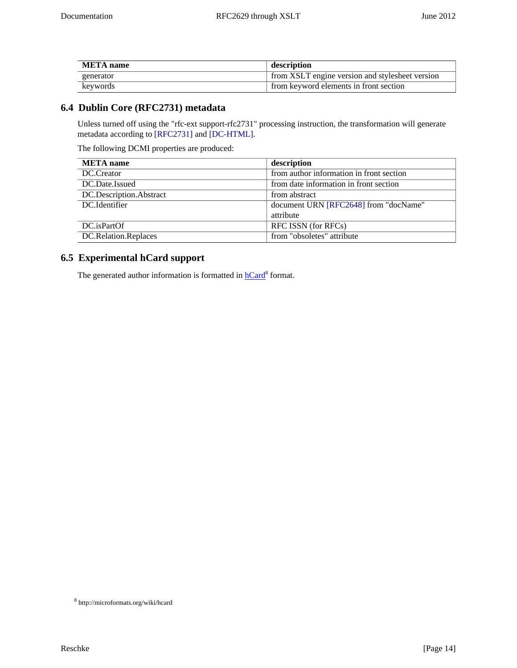| META name  | description                                     |
|------------|-------------------------------------------------|
| generator  | from XSLT engine version and stylesheet version |
| keywords " | from keyword elements in front section          |

# <span id="page-13-0"></span>**6.4 Dublin Core (RFC2731) metadata**

<span id="page-13-4"></span><span id="page-13-3"></span>Unless turned off using the "rfc-ext support-rfc2731" processing instruction, the transformation will generate metadata according to [\[RFC2731\]](#page-30-3) and [\[DC-HTML\]](#page-30-4).

<span id="page-13-2"></span>The following DCMI properties are produced:

| <b>META</b> name        | description                              |
|-------------------------|------------------------------------------|
| DC.Creator              | from author information in front section |
| DC.Date.Issued          | from date information in front section   |
| DC.Description.Abstract | from abstract                            |
| DC.Identifier           | document URN [RFC2648] from "docName"    |
|                         | attribute                                |
| DC.isPartOf             | RFC ISSN (for RFCs)                      |
| DC.Relation.Replaces    | from "obsoletes" attribute               |

# <span id="page-13-1"></span>**6.5 Experimental hCard support**

The generated author information is formatted in **hCard<sup>8</sup>** format.

<sup>8</sup> http://microformats.org/wiki/hcard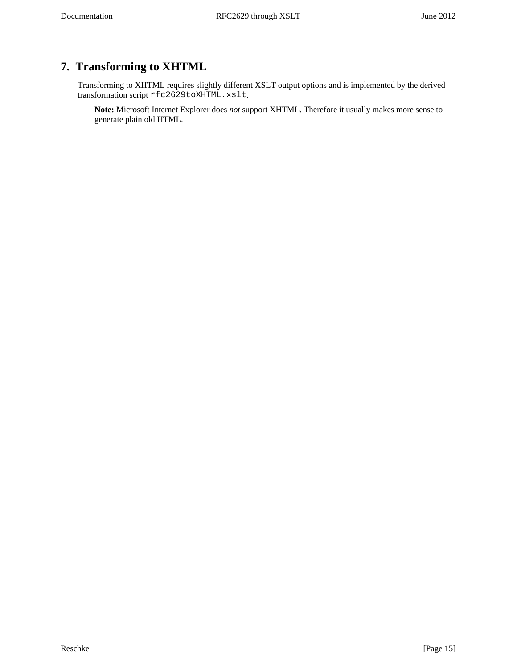# <span id="page-14-0"></span>**7. Transforming to XHTML**

Transforming to XHTML requires slightly different XSLT output options and is implemented by the derived transformation script rfc2629toXHTML.xslt.

**Note:** Microsoft Internet Explorer does *not* support XHTML. Therefore it usually makes more sense to generate plain old HTML.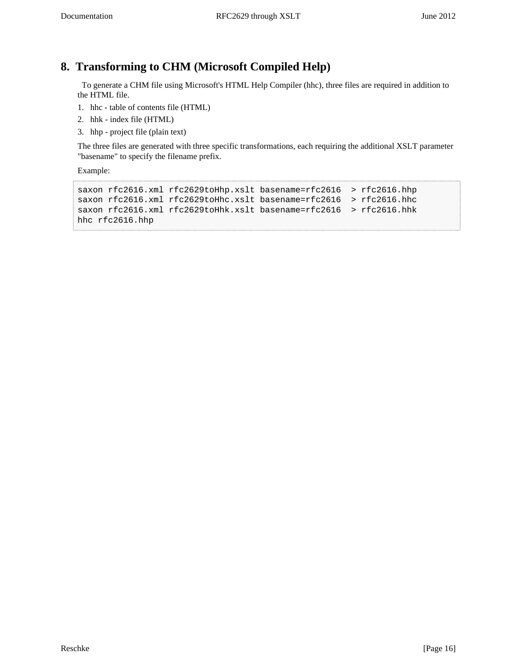# <span id="page-15-0"></span>**8. Transforming to CHM (Microsoft Compiled Help)**

<span id="page-15-2"></span><span id="page-15-1"></span> To generate a CHM file using Microsoft's HTML Help Compiler (hhc), three files are required in addition to the HTML file.

- 1. hhc table of contents file (HTML)
- 2. hhk index file (HTML)
- 3. hhp project file (plain text)

The three files are generated with three specific transformations, each requiring the additional XSLT parameter "basename" to specify the filename prefix.

Example:

```
saxon rfc2616.xml rfc2629toHhp.xslt basename=rfc2616 > rfc2616.hhp
saxon rfc2616.xml rfc2629toHhc.xslt basename=rfc2616 > rfc2616.hhc
saxon rfc2616.xml rfc2629toHhk.xslt basename=rfc2616 > rfc2616.hhk
hhc rfc2616.hhp
```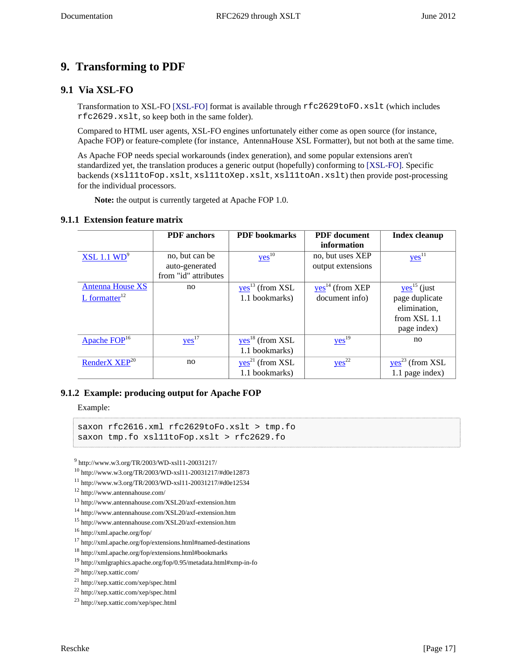# <span id="page-16-0"></span>**9. Transforming to PDF**

## <span id="page-16-1"></span>**9.1 Via XSL-FO**

<span id="page-16-7"></span>Transformation to XSL-FO [\[XSL-FO\]](#page-30-6) format is available through rfc2629toFO.xslt (which includes rfc2629.xslt, so keep both in the same folder).

<span id="page-16-6"></span>Compared to HTML user agents, XSL-FO engines unfortunately either come as open source (for instance, Apache FOP) or feature-complete (for instance, AntennaHouse XSL Formatter), but not both at the same time.

As Apache FOP needs special workarounds (index generation), and some popular extensions aren't standardized yet, the translation produces a generic output (hopefully) conforming to [\[XSL-FO\].](#page-30-6) Specific backends (xsl11toFop.xslt, xsl11toXep.xslt, xsl11toAn.xslt) then provide post-processing for the individual processors.

<span id="page-16-8"></span><span id="page-16-5"></span>**Note:** the output is currently targeted at Apache FOP 1.0.

#### <span id="page-16-2"></span>**9.1.1 Extension feature matrix**

|                             | <b>PDF</b> anchors   | <b>PDF</b> bookmarks | <b>PDF</b> document | <b>Index cleanup</b>      |
|-----------------------------|----------------------|----------------------|---------------------|---------------------------|
|                             |                      |                      | information         |                           |
| XSL 1.1 WD <sup>9</sup>     | no, but can be       | $yes$ <sup>10</sup>  | no, but uses XEP    | $yes$ <sup>11</sup>       |
|                             | auto-generated       |                      | output extensions   |                           |
|                             | from "id" attributes |                      |                     |                           |
| <b>Antenna House XS</b>     | no                   | $yes13$ (from XSL    | $yes14$ (from XEP   | $yes$ <sup>15</sup> (just |
| $L$ formatter <sup>12</sup> |                      | 1.1 bookmarks)       | document info)      | page duplicate            |
|                             |                      |                      |                     | elimination,              |
|                             |                      |                      |                     | from XSL 1.1              |
|                             |                      |                      |                     | page index)               |
| Apache FOP <sup>16</sup>    | $yes$ <sup>17</sup>  | $yes18$ (from XSL    | $yes$ <sup>19</sup> | no                        |
|                             |                      | 1.1 bookmarks)       |                     |                           |
| RenderX XEP <sup>20</sup>   | no                   | $yes21$ (from XSL    | $yes^{22}$          | $yes23$ (from XSL         |
|                             |                      | 1.1 bookmarks)       |                     | 1.1 page index)           |

### <span id="page-16-3"></span>**9.1.2 Example: producing output for Apache FOP**

Example:

```
saxon rfc2616.xml rfc2629toFo.xslt > tmp.fo
saxon tmp.fo xsl11toFop.xslt > rfc2629.fo
```
<span id="page-16-4"></span>9 http://www.w3.org/TR/2003/WD-xsl11-20031217/

```
10 http://www.w3.org/TR/2003/WD-xsl11-20031217/#d0e12873
```
<sup>11</sup> http://www.w3.org/TR/2003/WD-xsl11-20031217/#d0e12534

```
12 http://www.antennahouse.com/
```

```
13 http://www.antennahouse.com/XSL20/axf-extension.htm
```

```
14 http://www.antennahouse.com/XSL20/axf-extension.htm
```
<sup>15</sup> http://www.antennahouse.com/XSL20/axf-extension.htm

<sup>16</sup> http://xml.apache.org/fop/

<sup>17</sup> http://xml.apache.org/fop/extensions.html#named-destinations

<sup>18</sup> http://xml.apache.org/fop/extensions.html#bookmarks

<sup>19</sup> http://xmlgraphics.apache.org/fop/0.95/metadata.html#xmp-in-fo

<sup>20</sup> http://xep.xattic.com/

<sup>21</sup> http://xep.xattic.com/xep/spec.html

<sup>22</sup> http://xep.xattic.com/xep/spec.html

<sup>23</sup> http://xep.xattic.com/xep/spec.html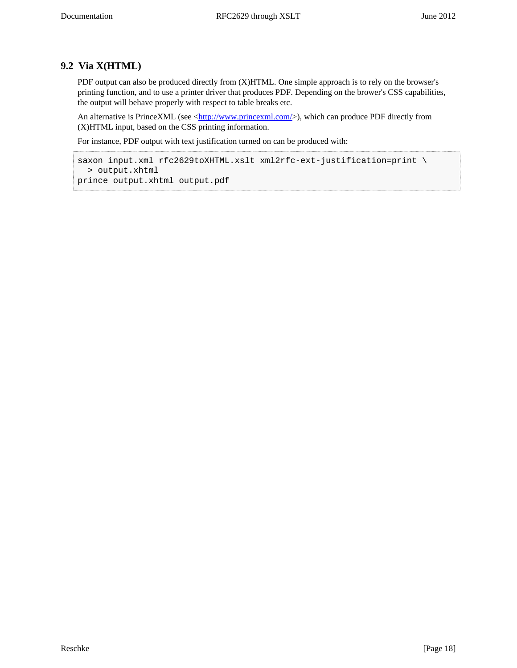# **9.2 Via X(HTML)**

PDF output can also be produced directly from (X)HTML. One simple approach is to rely on the browser's printing function, and to use a printer driver that produces PDF. Depending on the brower's CSS capabilities, the output will behave properly with respect to table breaks etc.

An alternative is PrinceXML (see [<http://www.princexml.com/](http://www.princexml.com/)>), which can produce PDF directly from (X)HTML input, based on the CSS printing information.

For instance, PDF output with text justification turned on can be produced with:

```
saxon input.xml rfc2629toXHTML.xslt xml2rfc-ext-justification=print \
   > output.xhtml
prince output.xhtml output.pdf
```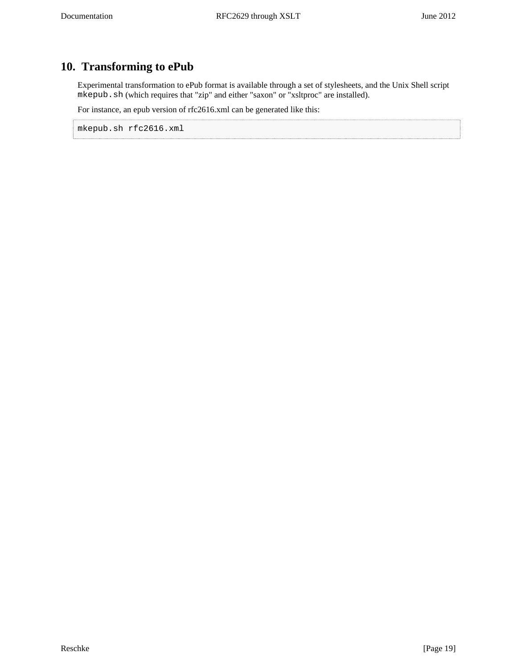# <span id="page-18-0"></span>**10. Transforming to ePub**

Experimental transformation to ePub format is available through a set of stylesheets, and the Unix Shell script mkepub.sh (which requires that "zip" and either "saxon" or "xsltproc" are installed).

For instance, an epub version of rfc2616.xml can be generated like this:

mkepub.sh rfc2616.xml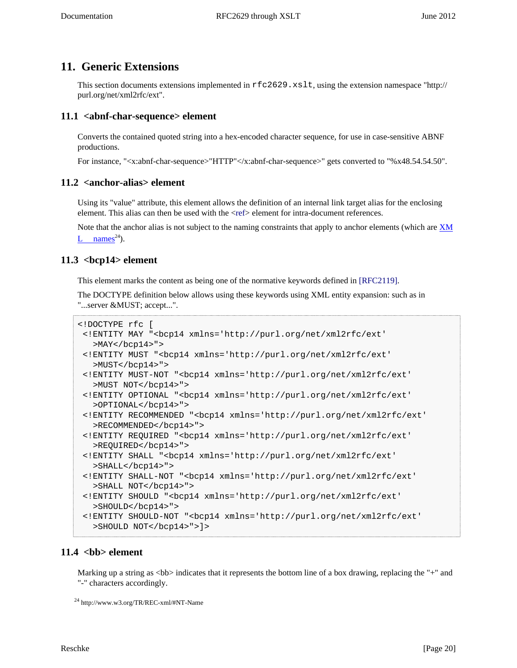# <span id="page-19-0"></span>**11. Generic Extensions**

This section documents extensions implemented in rfc2629.xslt, using the extension namespace "http:// purl.org/net/xml2rfc/ext".

### <span id="page-19-5"></span><span id="page-19-1"></span>**11.1 <abnf-char-sequence> element**

Converts the contained quoted string into a hex-encoded character sequence, for use in case-sensitive ABNF productions.

For instance, "<x:abnf-char-sequence>"HTTP"</x:abnf-char-sequence>" gets converted to "%x48.54.54.50".

### <span id="page-19-6"></span><span id="page-19-2"></span>**11.2 <anchor-alias> element**

Using its "value" attribute, this element allows the definition of an internal link target alias for the enclosing element. This alias can then be used with the [<ref](#page-22-1)> element for intra-document references.

Note that the anchor alias is not subject to the naming constraints that apply to anchor elements (which are  $X\overline{M}$ [L names](http://www.w3.org/TR/REC-xml/#NT-Name)<sup>24</sup>).

### <span id="page-19-8"></span><span id="page-19-3"></span>**11.3 <bcp14> element**

<span id="page-19-9"></span>This element marks the content as being one of the normative keywords defined in [\[RFC2119\].](#page-30-7)

The DOCTYPE definition below allows using these keywords using XML entity expansion: such as in "...server &MUST; accept...".

```
<!DOCTYPE rfc [
  <!ENTITY MAY "<bcp14 xmlns='http://purl.org/net/xml2rfc/ext'
   >MAY</math> < /bcp14 > " >
  <!ENTITY MUST "<bcp14 xmlns='http://purl.org/net/xml2rfc/ext'
    >MUST</bcp14>">
  <!ENTITY MUST-NOT "<bcp14 xmlns='http://purl.org/net/xml2rfc/ext'
   >MUST NOT</bcp14>">
  <!ENTITY OPTIONAL "<bcp14 xmlns='http://purl.org/net/xml2rfc/ext'
    >OPTIONAL</bcp14>">
  <!ENTITY RECOMMENDED "<bcp14 xmlns='http://purl.org/net/xml2rfc/ext'
   >RECOMMENDED</bcp14>">
  <!ENTITY REQUIRED "<bcp14 xmlns='http://purl.org/net/xml2rfc/ext'
    >REQUIRED</bcp14>">
  <!ENTITY SHALL "<bcp14 xmlns='http://purl.org/net/xml2rfc/ext'
    >SHALL</bcp14>">
  <!ENTITY SHALL-NOT "<bcp14 xmlns='http://purl.org/net/xml2rfc/ext'
    >SHALL NOT</bcp14>">
  <!ENTITY SHOULD "<bcp14 xmlns='http://purl.org/net/xml2rfc/ext'
    >SHOULD</bcp14>">
  <!ENTITY SHOULD-NOT "<bcp14 xmlns='http://purl.org/net/xml2rfc/ext'
    >SHOULD NOT</bcp14>">]>
```
### <span id="page-19-7"></span><span id="page-19-4"></span>11.4 <br/>bb> element

Marking up a string as  **indicates that it represents the bottom line of a box drawing, replacing the "+" and** "-" characters accordingly.

<sup>24</sup> http://www.w3.org/TR/REC-xml/#NT-Name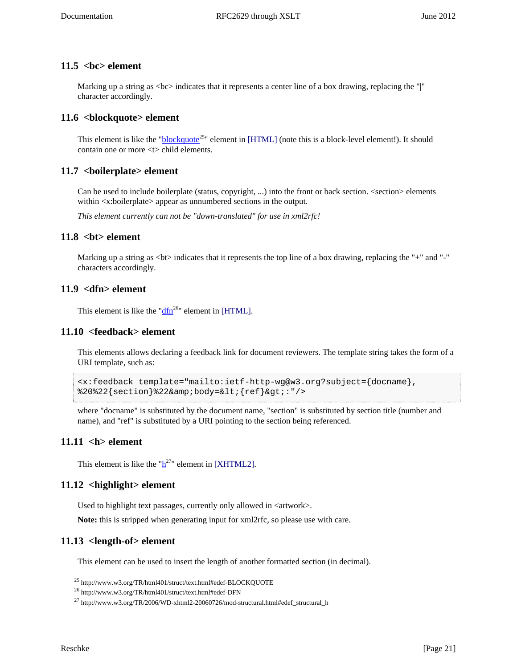### <span id="page-20-9"></span><span id="page-20-0"></span>**11.5 <bc> element**

Marking up a string as  $\langle$ bc $>$  indicates that it represents a center line of a box drawing, replacing the "|" character accordingly.

### <span id="page-20-10"></span><span id="page-20-1"></span>**11.6 <blockquote> element**

<span id="page-20-18"></span>This element is like the "**[blockquote](http://www.w3.org/TR/html401/struct/text.html#edef-BLOCKQUOTE)**<sup>25</sup>" element in [\[HTML\]](#page-30-2) (note this is a block-level element!). It should contain one or more <t> child elements.

### <span id="page-20-11"></span><span id="page-20-2"></span>**11.7 <boilerplate> element**

Can be used to include boilerplate (status, copyright, ...) into the front or back section. <section> elements within <x:boilerplate> appear as unnumbered sections in the output.

*This element currently can not be "down-translated" for use in xml2rfc!*

### <span id="page-20-12"></span><span id="page-20-3"></span>**11.8 <bt> element**

Marking up a string as  **indicates that it represents the top line of a box drawing, replacing the "+" and "-"** characters accordingly.

### <span id="page-20-13"></span><span id="page-20-4"></span>**11.9 <dfn> element**

<span id="page-20-19"></span>This element is like the " $\frac{dfn^{26}}{dt}$  $\frac{dfn^{26}}{dt}$  $\frac{dfn^{26}}{dt}$ " element in [\[HTML\]](#page-30-2).

### <span id="page-20-14"></span><span id="page-20-5"></span>**11.10 <feedback> element**

This elements allows declaring a feedback link for document reviewers. The template string takes the form of a URI template, such as:

```
<x:feedback template="mailto:ietf-http-wg@w3.org?subject={docname},
82022{section}822&body=<{ref}&gt;:"/>
```
where "docname" is substituted by the document name, "section" is substituted by section title (number and name), and "ref" is substituted by a URI pointing to the section being referenced.

### <span id="page-20-15"></span><span id="page-20-6"></span>**11.11 <h> element**

<span id="page-20-20"></span>T[h](http://www.w3.org/TR/2006/WD-xhtml2-20060726/mod-structural.html#edef_structural_h)is element is like the " $h^{27}$ " element in [\[XHTML2\]](#page-30-8).

### <span id="page-20-16"></span><span id="page-20-7"></span>**11.12 <highlight> element**

Used to highlight text passages, currently only allowed in <artwork>.

**Note:** this is stripped when generating input for xml2rfc, so please use with care.

### <span id="page-20-17"></span><span id="page-20-8"></span>**11.13 <length-of> element**

This element can be used to insert the length of another formatted section (in decimal).

<sup>25</sup> http://www.w3.org/TR/html401/struct/text.html#edef-BLOCKQUOTE

<sup>26</sup> http://www.w3.org/TR/html401/struct/text.html#edef-DFN

<sup>27</sup> http://www.w3.org/TR/2006/WD-xhtml2-20060726/mod-structural.html#edef\_structural\_h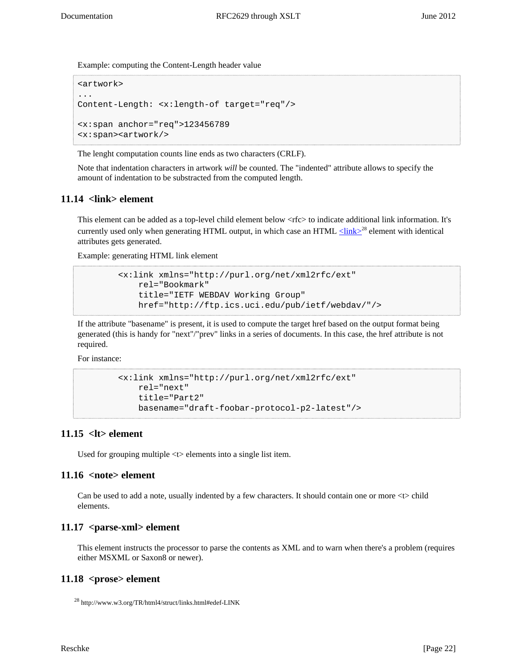Example: computing the Content-Length header value

```
<artwork>
...
Content-Length: <x:length-of target="req"/>
<x:span anchor="req">123456789
<x:span><artwork/>
```
The lenght computation counts line ends as two characters (CRLF).

Note that indentation characters in artwork *will* be counted. The "indented" attribute allows to specify the amount of indentation to be substracted from the computed length.

### <span id="page-21-5"></span><span id="page-21-0"></span>**11.14 <link> element**

This element can be added as a top-level child element below <rfc> to indicate additional link information. It's currently used only when generating HTML output, in which case an HTML  $\leq$ link $\geq$ <sup>28</sup> element with identical attributes gets generated.

Example: generating HTML link element

```
 <x:link xmlns="http://purl.org/net/xml2rfc/ext"
    rel="Bookmark"
    title="IETF WEBDAV Working Group"
    href="http://ftp.ics.uci.edu/pub/ietf/webdav/"/>
```
If the attribute "basename" is present, it is used to compute the target href based on the output format being generated (this is handy for "next"/"prev" links in a series of documents. In this case, the href attribute is not required.

For instance:

```
 <x:link xmlns="http://purl.org/net/xml2rfc/ext"
    rel="next"
    title="Part2"
    basename="draft-foobar-protocol-p2-latest"/>
```
### <span id="page-21-1"></span>**11.15 <lt> element**

<span id="page-21-6"></span>Used for grouping multiple <t> elements into a single list item.

### <span id="page-21-7"></span><span id="page-21-2"></span>**11.16 <note> element**

Can be used to add a note, usually indented by a few characters. It should contain one or more <t> child elements.

### <span id="page-21-8"></span><span id="page-21-3"></span>**11.17 <parse-xml> element**

This element instructs the processor to parse the contents as XML and to warn when there's a problem (requires either MSXML or Saxon8 or newer).

### <span id="page-21-4"></span>**11.18 <prose> element**

```
28 http://www.w3.org/TR/html4/struct/links.html#edef-LINK
```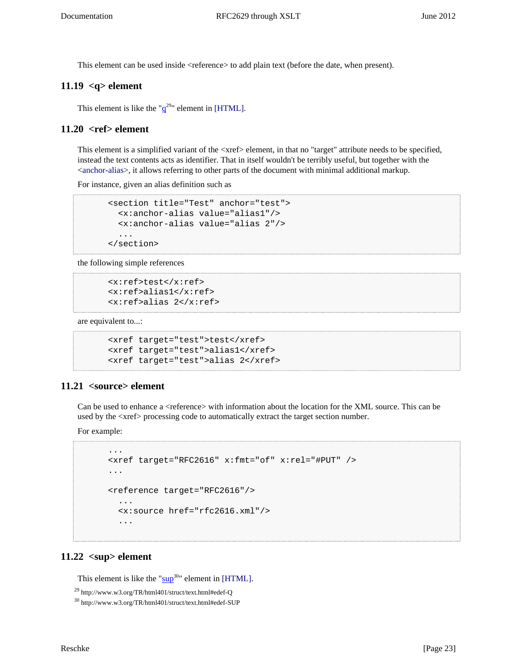This element can be used inside <reference> to add plain text (before the date, when present).

### <span id="page-22-4"></span><span id="page-22-0"></span>**11.19 <q> element**

<span id="page-22-8"></span>This element is like the " $q^{29}$  $q^{29}$ " element in [\[HTML\].](#page-30-2)

### <span id="page-22-5"></span><span id="page-22-1"></span>**11.20 <ref> element**

This element is a simplified variant of the <xref> element, in that no "target" attribute needs to be specified, instead the text contents acts as identifier. That in itself wouldn't be terribly useful, but together with the <[anchor-alias>](#page-19-2), it allows referring to other parts of the document with minimal additional markup.

For instance, given an alias definition such as

```
 <section title="Test" anchor="test">
   <x:anchor-alias value="alias1"/>
   <x:anchor-alias value="alias 2"/>
   ...
 </section>
```
the following simple references

```
 <x:ref>test</x:ref>
 <x:ref>alias1</x:ref>
 <x:ref>alias 2</x:ref>
```
are equivalent to...:

```
 <xref target="test">test</xref>
 <xref target="test">alias1</xref>
 <xref target="test">alias 2</xref>
```
### <span id="page-22-6"></span><span id="page-22-2"></span>**11.21 <source> element**

Can be used to enhance a <reference> with information about the location for the XML source. This can be used by the <xref> processing code to automatically extract the target section number.

For example:

```
 ...
 <xref target="RFC2616" x:fmt="of" x:rel="#PUT" />
 ...
 <reference target="RFC2616"/>
   ...
   <x:source href="rfc2616.xml"/>
   ...
```
### <span id="page-22-7"></span><span id="page-22-3"></span> $11.22$   $<sup>2</sup>$  element</sup>

<span id="page-22-9"></span>This element is like the " $\frac{\text{sup}}{20}$  $\frac{\text{sup}}{20}$  $\frac{\text{sup}}{20}$ " element in [\[HTML\].](#page-30-2)

<sup>29</sup> http://www.w3.org/TR/html401/struct/text.html#edef-Q

<sup>30</sup> http://www.w3.org/TR/html401/struct/text.html#edef-SUP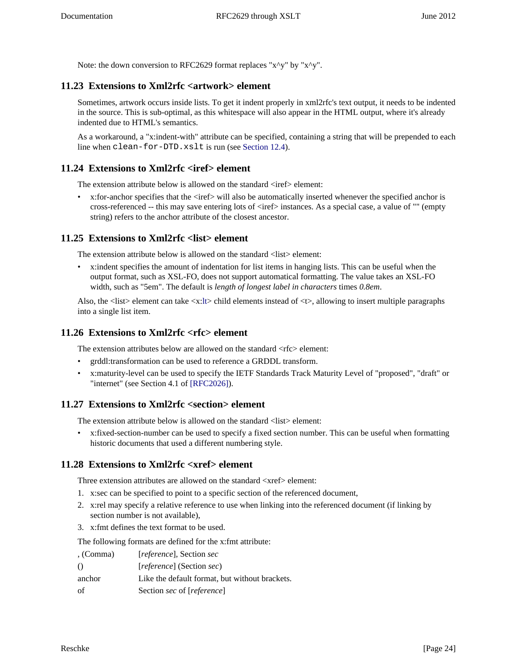Note: the down conversion to RFC2629 format replaces "x^y" by "x^y".

# <span id="page-23-0"></span>**11.23 Extensions to Xml2rfc <artwork> element**

Sometimes, artwork occurs inside lists. To get it indent properly in xml2rfc's text output, it needs to be indented in the source. This is sub-optimal, as this whitespace will also appear in the HTML output, where it's already indented due to HTML's semantics.

As a workaround, a "x:indent-with" attribute can be specified, containing a string that will be prepended to each line when clean-for-DTD.xslt is run (see [Section 12.4\)](#page-28-0).

### <span id="page-23-1"></span>**11.24 Extensions to Xml2rfc <iref> element**

The extension attribute below is allowed on the standard  $\langle$ iref $\rangle$  element:

•  $x:$  for-anchor specifies that the  $\langle$ iref $\rangle$  will also be automatically inserted whenever the specified anchor is cross-referenced -- this may save entering lots of <iref> instances. As a special case, a value of "" (empty string) refers to the anchor attribute of the closest ancestor.

### <span id="page-23-2"></span>**11.25 Extensions to Xml2rfc <list> element**

The extension attribute below is allowed on the standard <list>element:

• x:indent specifies the amount of indentation for list items in hanging lists. This can be useful when the output format, such as XSL-FO, does not support automatical formatting. The value takes an XSL-FO width, such as "5em". The default is *length of longest label in characters* times *0.8em*.

Also, the  $\langle$ list $\rangle$  element can take  $\langle x:$ [lt](#page-21-1) $\rangle$ child elements instead of  $\langle t \rangle$ , allowing to insert multiple paragraphs into a single list item.

### <span id="page-23-3"></span>**11.26 Extensions to Xml2rfc <rfc> element**

The extension attributes below are allowed on the standard  $\langle$ rfc $>$  element:

- grddl:transformation can be used to reference a GRDDL transform.
- <span id="page-23-6"></span>• x:maturity-level can be used to specify the IETF Standards Track Maturity Level of "proposed", "draft" or "internet" (see Section 4.1 of [\[RFC2026\]\)](#page-30-9).

### <span id="page-23-4"></span>**11.27 Extensions to Xml2rfc <section> element**

The extension attribute below is allowed on the standard <list> element:

• x:fixed-section-number can be used to specify a fixed section number. This can be useful when formatting historic documents that used a different numbering style.

### <span id="page-23-5"></span>**11.28 Extensions to Xml2rfc <xref> element**

Three extension attributes are allowed on the standard  $\langle x \rangle$  element:

- 1. x:sec can be specified to point to a specific section of the referenced document,
- 2. x:rel may specify a relative reference to use when linking into the referenced document (if linking by section number is not available),
- 3. x:fmt defines the text format to be used.

The following formats are defined for the x:fmt attribute:

| , (Comma)        | <i>reference</i> , Section sec                 |
|------------------|------------------------------------------------|
| $\left( \right)$ | <i>reference</i> (Section <i>sec</i> )         |
| anchor           | Like the default format, but without brackets. |
| of               | Section sec of [reference]                     |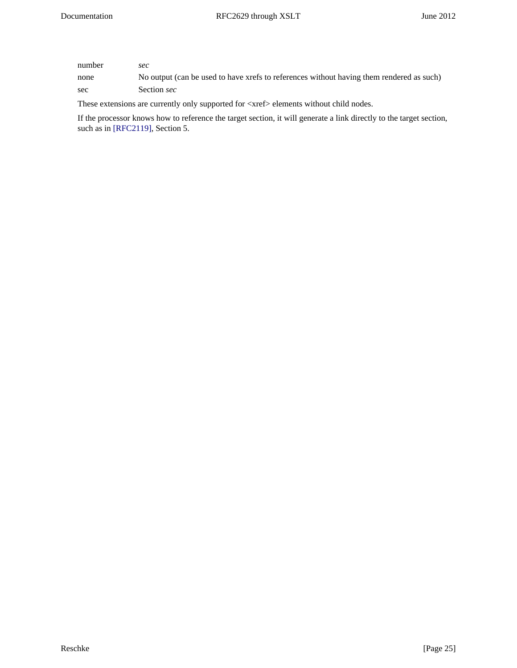| number | sec                                                                                      |
|--------|------------------------------------------------------------------------------------------|
| none   | No output (can be used to have xrefs to references without having them rendered as such) |
| sec    | Section sec                                                                              |

These extensions are currently only supported for <xref> elements without child nodes.

<span id="page-24-0"></span>If the processor knows how to reference the target section, it will generate a link directly to the target section, such as in [\[RFC2119\],](#page-30-7) Section 5.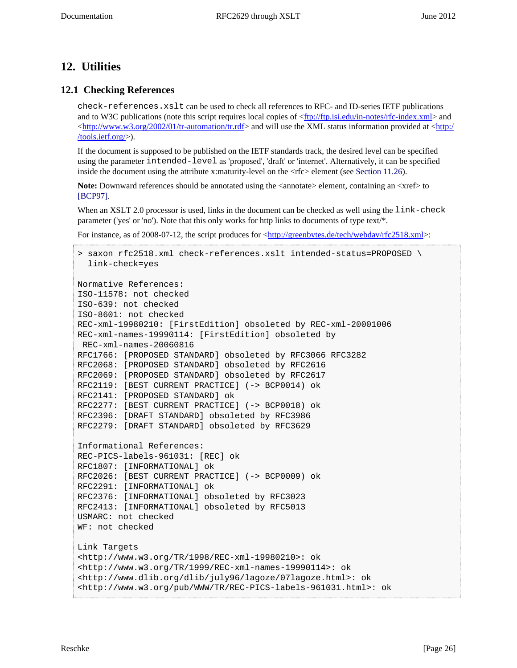# <span id="page-25-0"></span>**12. Utilities**

## <span id="page-25-1"></span>**12.1 Checking References**

check-references.xslt can be used to check all references to RFC- and ID-series IETF publications and to W3C publications (note this script requires local copies of [<ftp://ftp.isi.edu/in-notes/rfc-index.xml](ftp://ftp.isi.edu/in-notes/rfc-index.xml)> and  $\langle \text{http://www.w3.org/2002/01/tr-automation/tr.rdf} \rangle$  and will use the XML status information provided at  $\langle \text{http://www.w3.org/2002/01/tr-automation/tr.rdf} \rangle$  and will use the XML status information provided at  $\langle \text{http://www.w3.org/2002/01/tr-automation/tr.rdf} \rangle$ [/tools.ietf.org/>](http://tools.ietf.org/)).

If the document is supposed to be published on the IETF standards track, the desired level can be specified using the parameter intended-level as 'proposed', 'draft' or 'internet'. Alternatively, it can be specified inside the document using the attribute x:maturity-level on the  $\langle$ rfc> element (see [Section 11.26\)](#page-23-3).

<span id="page-25-2"></span>**Note:** Downward references should be annotated using the  $\alpha$  annotate element, containing an  $\alpha$ xref $>$  to [\[BCP97\].](#page-30-10)

When an XSLT 2.0 processor is used, links in the document can be checked as well using the link-check parameter ('yes' or 'no'). Note that this only works for http links to documents of type text/\*.

For instance, as of 2008-07-12, the script produces for  $\frac{\text{http://greenbytes.de/tech/webday/rfc2518.xml}}{$ :

```
> saxon rfc2518.xml check-references.xslt intended-status=PROPOSED \
   link-check=yes
Normative References:
ISO-11578: not checked
ISO-639: not checked
ISO-8601: not checked
REC-xml-19980210: [FirstEdition] obsoleted by REC-xml-20001006
REC-xml-names-19990114: [FirstEdition] obsoleted by
 REC-xml-names-20060816
RFC1766: [PROPOSED STANDARD] obsoleted by RFC3066 RFC3282
RFC2068: [PROPOSED STANDARD] obsoleted by RFC2616
RFC2069: [PROPOSED STANDARD] obsoleted by RFC2617
RFC2119: [BEST CURRENT PRACTICE] (-> BCP0014) ok
RFC2141: [PROPOSED STANDARD] ok
RFC2277: [BEST CURRENT PRACTICE] (-> BCP0018) ok
RFC2396: [DRAFT STANDARD] obsoleted by RFC3986
RFC2279: [DRAFT STANDARD] obsoleted by RFC3629
Informational References:
REC-PICS-labels-961031: [REC] ok
RFC1807: [INFORMATIONAL] ok
RFC2026: [BEST CURRENT PRACTICE] (-> BCP0009) ok
RFC2291: [INFORMATIONAL] ok
RFC2376: [INFORMATIONAL] obsoleted by RFC3023
RFC2413: [INFORMATIONAL] obsoleted by RFC5013
USMARC: not checked
WF: not checked
Link Targets
<http://www.w3.org/TR/1998/REC-xml-19980210>: ok
<http://www.w3.org/TR/1999/REC-xml-names-19990114>: ok
<http://www.dlib.org/dlib/july96/lagoze/07lagoze.html>: ok
<http://www.w3.org/pub/WWW/TR/REC-PICS-labels-961031.html>: ok
```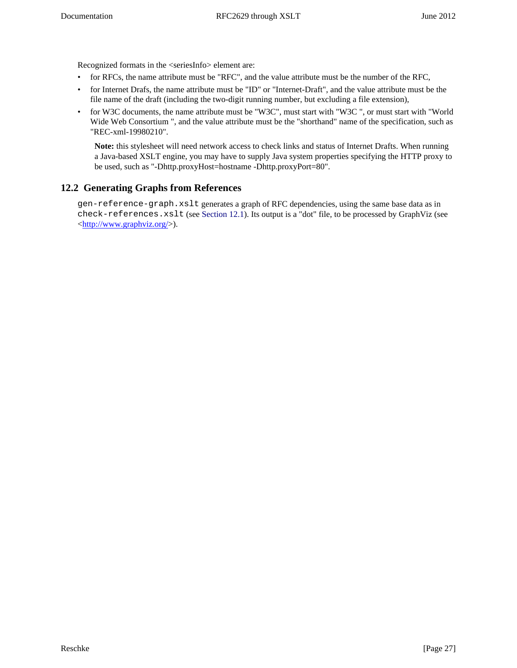Recognized formats in the <seriesInfo> element are:

- for RFCs, the name attribute must be "RFC", and the value attribute must be the number of the RFC,
- for Internet Drafs, the name attribute must be "ID" or "Internet-Draft", and the value attribute must be the file name of the draft (including the two-digit running number, but excluding a file extension),
- for W3C documents, the name attribute must be "W3C", must start with "W3C ", or must start with "World Wide Web Consortium ", and the value attribute must be the "shorthand" name of the specification, such as "REC-xml-19980210".

**Note:** this stylesheet will need network access to check links and status of Internet Drafts. When running a Java-based XSLT engine, you may have to supply Java system properties specifying the HTTP proxy to be used, such as "-Dhttp.proxyHost=hostname -Dhttp.proxyPort=80".

# <span id="page-26-0"></span>**12.2 Generating Graphs from References**

gen-reference-graph.xslt generates a graph of RFC dependencies, using the same base data as in check-references.xslt (see [Section 12.1](#page-25-1)). Its output is a "dot" file, to be processed by GraphViz (see <<http://www.graphviz.org/>>).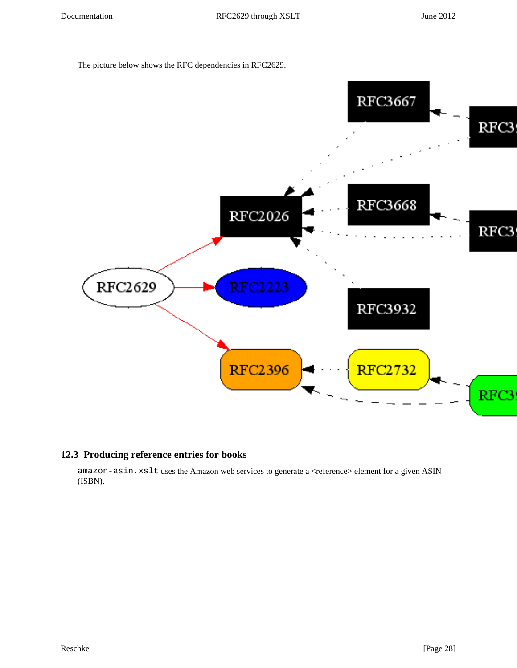The picture below shows the RFC dependencies in RFC2629.



### <span id="page-27-0"></span>**12.3 Producing reference entries for books**

amazon-asin.xslt uses the Amazon web services to generate a <reference> element for a given ASIN (ISBN).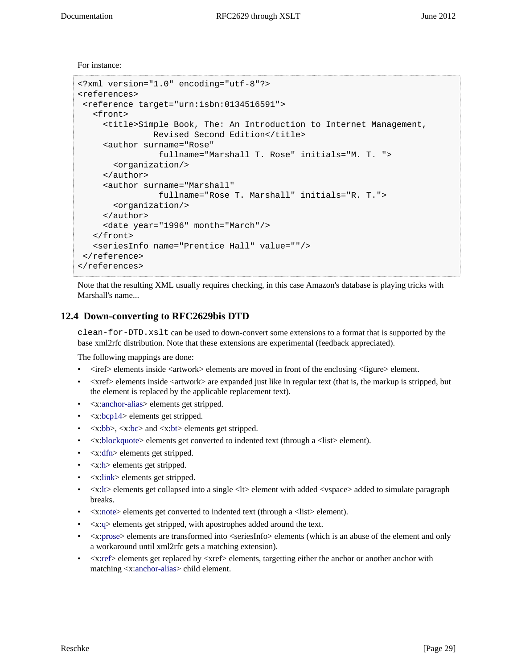For instance:

```
<?xml version="1.0" encoding="utf-8"?>
<references>
  <reference target="urn:isbn:0134516591">
    <front>
      <title>Simple Book, The: An Introduction to Internet Management,
               Revised Second Edition</title>
      <author surname="Rose"
                 fullname="Marshall T. Rose" initials="M. T. ">
        <organization/>
      </author>
      <author surname="Marshall"
                 fullname="Rose T. Marshall" initials="R. T.">
        <organization/>
      </author>
      <date year="1996" month="March"/>
    </front>
    <seriesInfo name="Prentice Hall" value=""/>
  </reference>
</references>
```
Note that the resulting XML usually requires checking, in this case Amazon's database is playing tricks with Marshall's name...

### <span id="page-28-0"></span>**12.4 Down-converting to RFC2629bis DTD**

clean-for-DTD.xslt can be used to down-convert some extensions to a format that is supported by the base xml2rfc distribution. Note that these extensions are experimental (feedback appreciated).

The following mappings are done:

- <iref> elements inside <artwork> elements are moved in front of the enclosing <figure> element.
- <xref> elements inside <artwork> are expanded just like in regular text (that is, the markup is stripped, but the element is replaced by the applicable replacement text).
- <x[:anchor-alias](#page-19-2)> elements get stripped.
- <x[:bcp14>](#page-19-3) elements get stripped.
- $\langle x:bb \rangle, \langle x:bc \rangle$  $\langle x:bb \rangle, \langle x:bc \rangle$  $\langle x:bb \rangle, \langle x:bc \rangle$  and  $\langle x:bt \rangle$  $\langle x:bt \rangle$  $\langle x:bt \rangle$  elements get stripped.
- <x[:blockquote>](#page-20-1) elements get converted to indented text (through a <list> element).
- <x[:dfn>](#page-20-4) elements get stripped.
- $\langle x: h \rangle$  elements get stripped.
- <x[:link>](#page-21-0) elements get stripped.
- $\langle x: l \rangle$  elements get collapsed into a single  $\langle l \rangle$  element with added  $\langle v \rangle$  and  $\langle v \rangle$  and  $\langle v \rangle$  is a simulate paragraph breaks.
- <x[:note>](#page-21-2) elements get converted to indented text (through a <list> element).
- <x[:q](#page-22-0)> elements get stripped, with apostrophes added around the text.
- $\leq$ x[:prose](#page-21-4)> elements are transformed into  $\leq$ seriesInfo> elements (which is an abuse of the element and only a workaround until xml2rfc gets a matching extension).
- <span id="page-28-1"></span>• <x[:ref>](#page-22-1) elements get replaced by <xref> elements, targetting either the anchor or another anchor with matching <x[:anchor-alias](#page-19-2)> child element.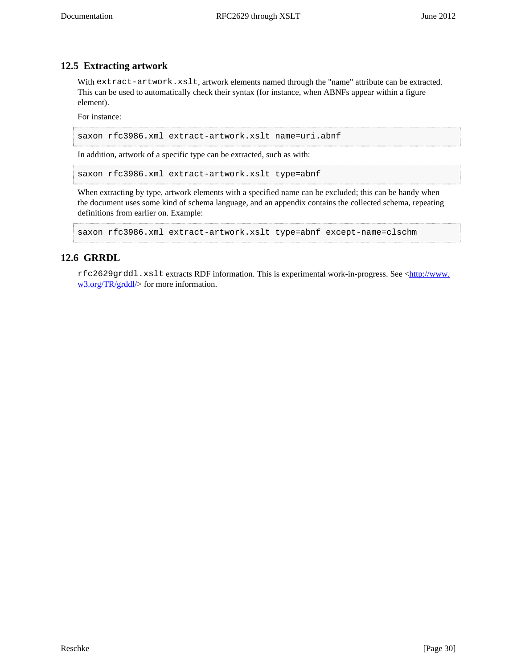### **12.5 Extracting artwork**

With extract-artwork.xslt, artwork elements named through the "name" attribute can be extracted. This can be used to automatically check their syntax (for instance, when ABNFs appear within a figure element).

For instance:

saxon rfc3986.xml extract-artwork.xslt name=uri.abnf

In addition, artwork of a specific type can be extracted, such as with:

saxon rfc3986.xml extract-artwork.xslt type=abnf

When extracting by type, artwork elements with a specified name can be excluded; this can be handy when the document uses some kind of schema language, and an appendix contains the collected schema, repeating definitions from earlier on. Example:

```
saxon rfc3986.xml extract-artwork.xslt type=abnf except-name=clschm
```
### <span id="page-29-0"></span>**12.6 GRRDL**

rfc2629grddl.xslt extracts RDF information. This is experimental work-in-progress. See <[http://www.](http://www.w3.org/TR/grddl/) [w3.org/TR/grddl/](http://www.w3.org/TR/grddl/)> for more information.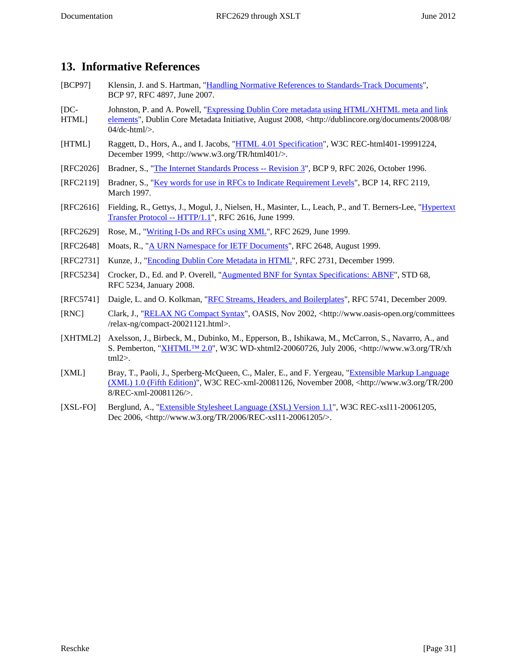# <span id="page-30-0"></span>**13. Informative References**

- <span id="page-30-10"></span>[BCP97] Klensin, J. and S. Hartman, "[Handling Normative References to Standards-Track Documents"](http://tools.ietf.org/html/rfc4897.txt), BCP 97, RFC 4897, June 2007.
- <span id="page-30-4"></span> $[DC-$ Johnston, P. and A. Powell, ["Expressing Dublin Core metadata using HTML/XHTML meta and link](http://dublincore.org/documents/2008/08/04/dc-html/)
- HTML] [elements"](http://dublincore.org/documents/2008/08/04/dc-html/), Dublin Core Metadata Initiative, August 2008, <http://dublincore.org/documents/2008/08/ 04/dc-html/>.
- <span id="page-30-2"></span>[HTML] Raggett, D., Hors, A., and I. Jacobs, "[HTML 4.01 Specification"](http://www.w3.org/TR/html401/), W3C REC-html401-19991224, December 1999, <http://www.w3.org/TR/html401/>.
- <span id="page-30-9"></span>[RFC2026] Bradner, S., ["The Internet Standards Process -- Revision 3](http://tools.ietf.org/html/rfc2026.txt)", BCP 9, RFC 2026, October 1996.
- <span id="page-30-7"></span>[RFC2119] Bradner, S., ["Key words for use in RFCs to Indicate Requirement Levels"](http://tools.ietf.org/html/rfc2119.txt), BCP 14, RFC 2119, March 1997.
- <span id="page-30-13"></span>[RFC2616] Fielding, R., Gettys, J., Mogul, J., Nielsen, H., Masinter, L., Leach, P., and T. Berners-Lee, "[Hypertext](http://tools.ietf.org/html/rfc2616.txt) [Transfer Protocol -- HTTP/1.1](http://tools.ietf.org/html/rfc2616.txt)", RFC 2616, June 1999.
- <span id="page-30-1"></span>[RFC2629] Rose, M., ["Writing I-Ds and RFCs using XML"](http://tools.ietf.org/html/rfc2629.txt), RFC 2629, June 1999.
- <span id="page-30-5"></span>[RFC2648] Moats, R., ["A URN Namespace for IETF Documents](http://tools.ietf.org/html/rfc2648.txt)", RFC 2648, August 1999.
- <span id="page-30-3"></span>[RFC2731] Kunze, J., "[Encoding Dublin Core Metadata in HTML"](http://tools.ietf.org/html/rfc2731.txt), RFC 2731, December 1999.
- <span id="page-30-12"></span>[RFC5234] Crocker, D., Ed. and P. Overell, "[Augmented BNF for Syntax Specifications: ABNF"](http://tools.ietf.org/html/rfc5234.txt), STD 68, RFC 5234, January 2008.
- <span id="page-30-15"></span>[RFC5741] Daigle, L. and O. Kolkman, ["RFC Streams, Headers, and Boilerplates"](http://tools.ietf.org/html/rfc5741.txt), RFC 5741, December 2009.
- <span id="page-30-11"></span>[RNC] Clark, J., "[RELAX NG Compact Syntax"](http://www.oasis-open.org/committees/relax-ng/compact-20021121.html), OASIS, Nov 2002, <http://www.oasis-open.org/committees /relax-ng/compact-20021121.html>.
- <span id="page-30-8"></span>[XHTML2] Axelsson, J., Birbeck, M., Dubinko, M., Epperson, B., Ishikawa, M., McCarron, S., Navarro, A., and S. Pemberton, "[XHTML™ 2.0](http://www.w3.org/TR/xhtml2)", W3C WD-xhtml2-20060726, July 2006, <http://www.w3.org/TR/xh tml2>.
- <span id="page-30-14"></span>[XML] Bray, T., Paoli, J., Sperberg-McQueen, C., Maler, E., and F. Yergeau, "[Extensible Markup Language](http://www.w3.org/TR/2008/REC-xml-20081126/) [\(XML\) 1.0 \(Fifth Edition\)](http://www.w3.org/TR/2008/REC-xml-20081126/)", W3C REC-xml-20081126, November 2008, <http://www.w3.org/TR/200 8/REC-xml-20081126/>.
- <span id="page-30-6"></span>[XSL-FO] Berglund, A., ["Extensible Stylesheet Language \(XSL\) Version 1.1"](http://www.w3.org/TR/2006/REC-xsl11-20061205/), W3C REC-xsl11-20061205, Dec 2006, <http://www.w3.org/TR/2006/REC-xsl11-20061205/>.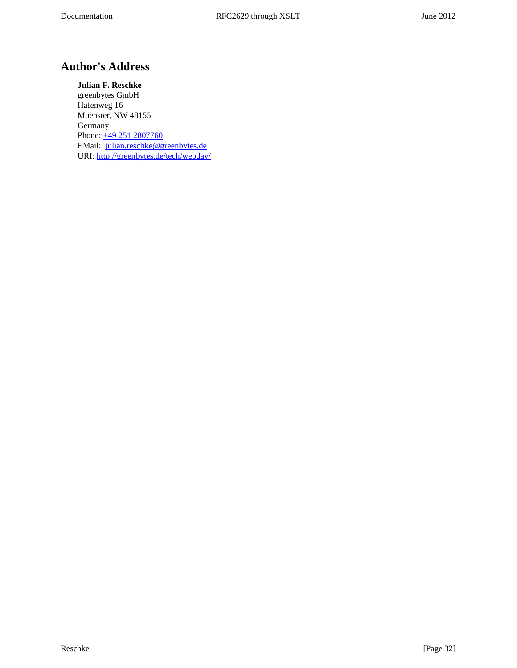# <span id="page-31-0"></span>**Author's Address**

**Julian F. Reschke** greenbytes GmbH Hafenweg 16 Muenster, NW 48155 Germany Phone: [+49 251 2807760](tel:+492512807760) EMail: [julian.reschke@greenbytes.de](mailto:julian.reschke@greenbytes.de) URI:<http://greenbytes.de/tech/webdav/>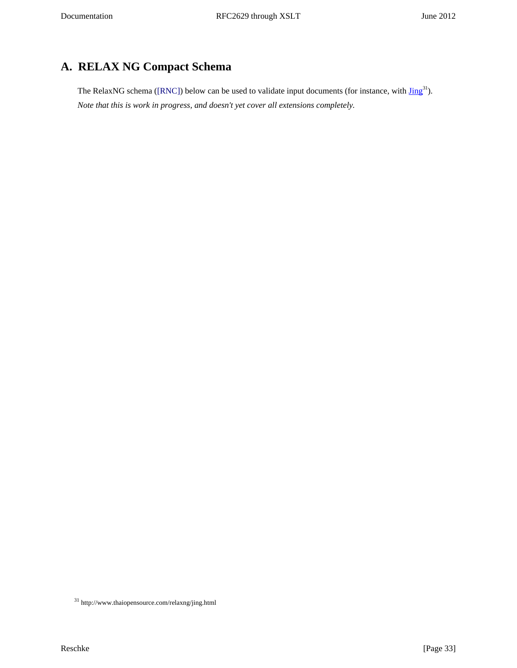# <span id="page-32-0"></span>**A. RELAX NG Compact Schema**

<span id="page-32-2"></span><span id="page-32-1"></span>The RelaxNG schema [\(\[RNC\]](#page-30-11)) below can be used to validate input documents (for instance, with  $\text{Jing}^{31}$ ). *Note that this is work in progress, and doesn't yet cover all extensions completely.*

 $^{\rm 31}$ http://www.thaiopensource.com/relaxng/jing.html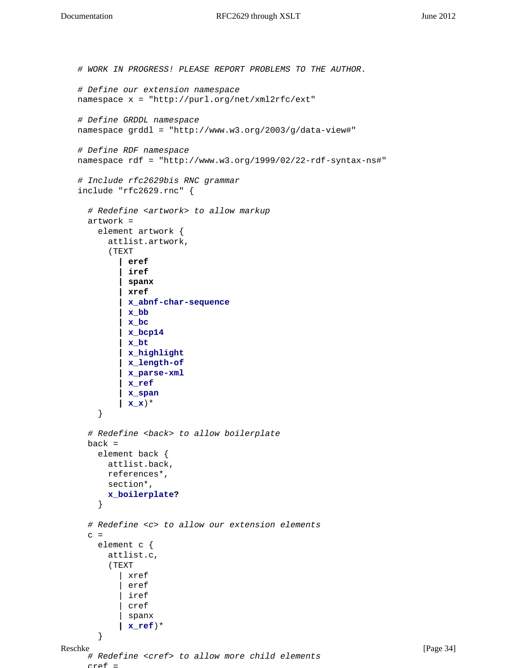```
Reschke [Page 34]
   # WORK IN PROGRESS! PLEASE REPORT PROBLEMS TO THE AUTHOR.
   # Define our extension namespace
   namespace x = "http://purl.org/net/xml2rfc/ext"
   # Define GRDDL namespace
   namespace grddl = "http://www.w3.org/2003/g/data-view#"
   # Define RDF namespace
   namespace rdf = "http://www.w3.org/1999/02/22-rdf-syntax-ns#"
   # Include rfc2629bis RNC grammar
   include "rfc2629.rnc" {
      # Redefine <artwork> to allow markup
      artwork =
        element artwork {
          attlist.artwork,
          (TEXT
            | eref
            | iref
            | spanx
            | xref
            | x_abnf-char-sequence
            | x_bb
            | x_bc
            | x_bcp14
            | x_bt
            | x_highlight
            | x_length-of
            | x_parse-xml
            | x_ref
            | x_span
            | x_x)* 
        }
      # Redefine <back> to allow boilerplate
    back = element back {
          attlist.back,
          references*,
          section*,
          x_boilerplate?
        }
      # Redefine <c> to allow our extension elements
     c = element c {
          attlist.c,
          (TEXT
            | xref
             | eref 
            iref
             | cref 
            | spanx 
            | x_ref)*
        }
      # Redefine <cref> to allow more child elements
     arcof =
```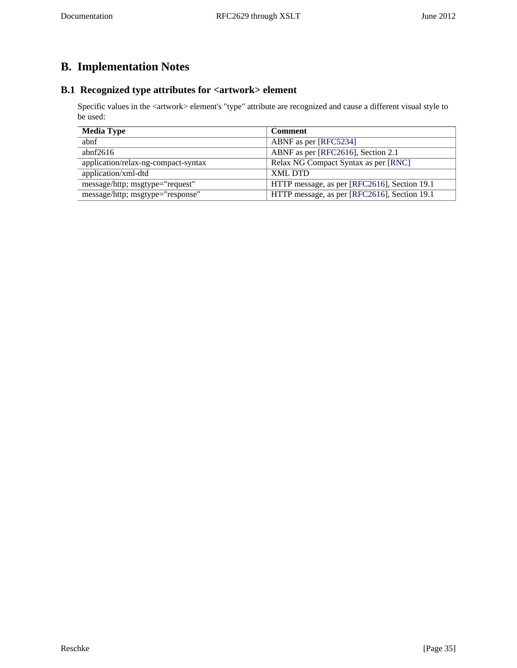# <span id="page-34-0"></span>**B. Implementation Notes**

# <span id="page-34-1"></span>**B.1 Recognized type attributes for <artwork> element**

Specific values in the <artwork> element's "type" attribute are recognized and cause a different visual style to be used:

<span id="page-34-2"></span>

| <b>Media Type</b>                   | <b>Comment</b>                               |
|-------------------------------------|----------------------------------------------|
| abnf                                | ABNF as per [RFC5234]                        |
| abnf $2616$                         | ABNF as per [RFC2616], Section 2.1           |
| application/relax-ng-compact-syntax | Relax NG Compact Syntax as per [RNC]         |
| application/xml-dtd                 | <b>XML DTD</b>                               |
| message/http; msgtype="request"     | HTTP message, as per [RFC2616], Section 19.1 |
| message/http; msgtype="response"    | HTTP message, as per [RFC2616], Section 19.1 |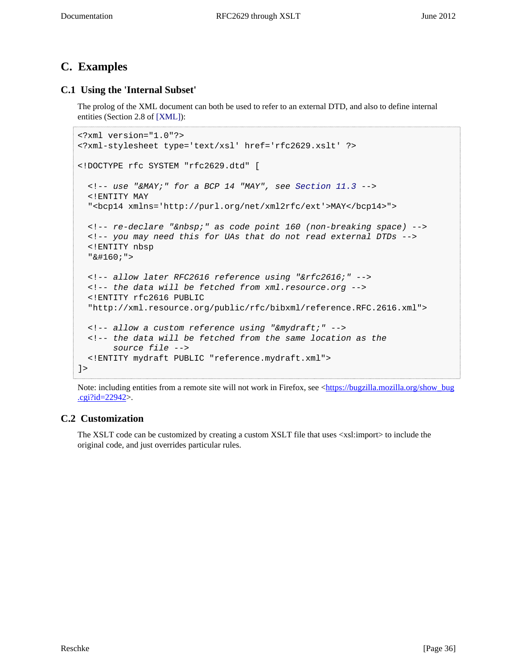# <span id="page-35-0"></span>**C. Examples**

## <span id="page-35-1"></span>**C.1 Using the 'Internal Subset'**

<span id="page-35-3"></span>The prolog of the XML document can both be used to refer to an external DTD, and also to define internal entities (Section 2.8 of [\[XML\]\)](#page-30-14):

```
<?xml version="1.0"?>
<?xml-stylesheet type='text/xsl' href='rfc2629.xslt' ?>
<!DOCTYPE rfc SYSTEM "rfc2629.dtd" [
  \langle -1 - 11.3 - -1 \rangle <!ENTITY MAY
   "<bcp14 xmlns='http://purl.org/net/xml2rfc/ext'>MAY</bcp14>">
  <!-- re-declare "&nbsp;" as code point 160 (non-breaking space) -->
   <!-- you may need this for UAs that do not read external DTDs -->
   <!ENTITY nbsp
  " & #160; "> <!-- allow later RFC2616 reference using "&rfc2616;" -->
   <!-- the data will be fetched from xml.resource.org -->
   <!ENTITY rfc2616 PUBLIC
   "http://xml.resource.org/public/rfc/bibxml/reference.RFC.2616.xml">
   <!-- allow a custom reference using "&mydraft;" -->
   <!-- the data will be fetched from the same location as the 
       source file -->
   <!ENTITY mydraft PUBLIC "reference.mydraft.xml">
]>
```
Note: including entities from a remote site will not work in Firefox, see <[https://bugzilla.mozilla.org/show\\_bug](https://bugzilla.mozilla.org/show_bug.cgi?id=22942) [.cgi?id=22942>](https://bugzilla.mozilla.org/show_bug.cgi?id=22942).

### <span id="page-35-2"></span>**C.2 Customization**

The XSLT code can be customized by creating a custom XSLT file that uses <xsl:import> to include the original code, and just overrides particular rules.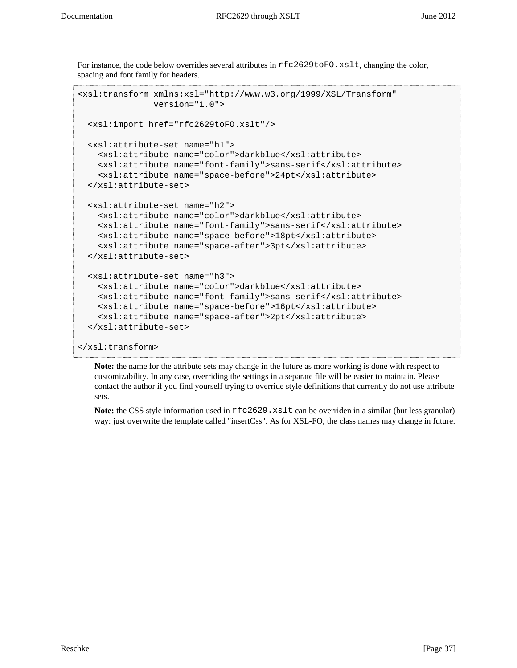For instance, the code below overrides several attributes in  $rfc2629toFO.rslt$ , changing the color, spacing and font family for headers.

```
<xsl:transform xmlns:xsl="http://www.w3.org/1999/XSL/Transform"
                version="1.0">
   <xsl:import href="rfc2629toFO.xslt"/>
   <xsl:attribute-set name="h1">
     <xsl:attribute name="color">darkblue</xsl:attribute>
     <xsl:attribute name="font-family">sans-serif</xsl:attribute>
     <xsl:attribute name="space-before">24pt</xsl:attribute>
   </xsl:attribute-set>
   <xsl:attribute-set name="h2">
     <xsl:attribute name="color">darkblue</xsl:attribute>
     <xsl:attribute name="font-family">sans-serif</xsl:attribute>
     <xsl:attribute name="space-before">18pt</xsl:attribute>
     <xsl:attribute name="space-after">3pt</xsl:attribute>
   </xsl:attribute-set>
   <xsl:attribute-set name="h3">
     <xsl:attribute name="color">darkblue</xsl:attribute>
     <xsl:attribute name="font-family">sans-serif</xsl:attribute>
     <xsl:attribute name="space-before">16pt</xsl:attribute>
     <xsl:attribute name="space-after">2pt</xsl:attribute>
   </xsl:attribute-set>
</xsl:transform>
```
**Note:** the name for the attribute sets may change in the future as more working is done with respect to customizability. In any case, overriding the settings in a separate file will be easier to maintain. Please contact the author if you find yourself trying to override style definitions that currently do not use attribute sets.

Note: the CSS style information used in  $rfc2629$ . xslt can be overriden in a similar (but less granular) way: just overwrite the template called "insertCss". As for XSL-FO, the class names may change in future.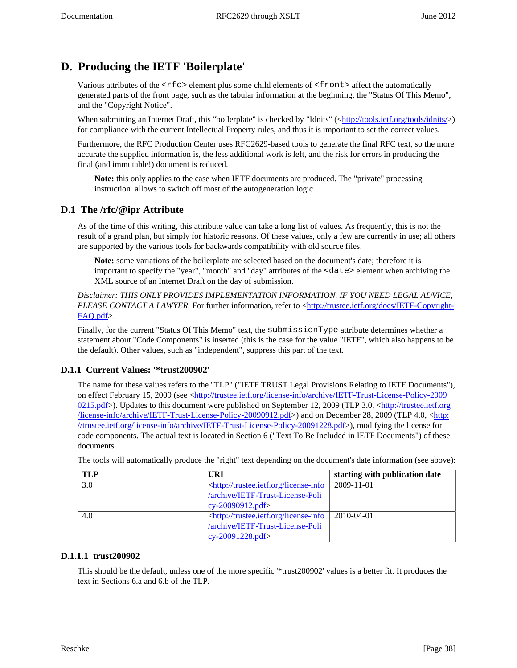# <span id="page-37-0"></span>**D. Producing the IETF 'Boilerplate'**

Various attributes of the  $\langle \text{rfc} \rangle$  element plus some child elements of  $\langle \text{front} \rangle$  affect the automatically generated parts of the front page, such as the tabular information at the beginning, the "Status Of This Memo", and the "Copyright Notice".

When submitting an Internet Draft, this "boilerplate" is checked by "Idnits" ([<http://tools.ietf.org/tools/idnits/](http://tools.ietf.org/tools/idnits/)>) for compliance with the current Intellectual Property rules, and thus it is important to set the correct values.

Furthermore, the RFC Production Center uses RFC2629-based tools to generate the final RFC text, so the more accurate the supplied information is, the less additional work is left, and the risk for errors in producing the final (and immutable!) document is reduced.

<span id="page-37-5"></span>**Note:** this only applies to the case when IETF documents are produced. The "private" processing instruction allows to switch off most of the autogeneration logic.

### <span id="page-37-1"></span>**D.1 The /rfc/@ipr Attribute**

As of the time of this writing, this attribute value can take a long list of values. As frequently, this is not the result of a grand plan, but simply for historic reasons. Of these values, only a few are currently in use; all others are supported by the various tools for backwards compatibility with old source files.

**Note:** some variations of the boilerplate are selected based on the document's date; therefore it is important to specify the "year", "month" and "day" attributes of the <date> element when archiving the XML source of an Internet Draft on the day of submission.

*Disclaimer: THIS ONLY PROVIDES IMPLEMENTATION INFORMATION. IF YOU NEED LEGAL ADVICE, PLEASE CONTACT A LAWYER*. For further information, refer to [<http://trustee.ietf.org/docs/IETF-Copyright-](http://trustee.ietf.org/docs/IETF-Copyright-FAQ.pdf)[FAQ.pdf>](http://trustee.ietf.org/docs/IETF-Copyright-FAQ.pdf).

Finally, for the current "Status Of This Memo" text, the submissionType attribute determines whether a statement about "Code Components" is inserted (this is the case for the value "IETF", which also happens to be the default). Other values, such as "independent", suppress this part of the text.

### <span id="page-37-2"></span>**D.1.1 Current Values: '\*trust200902'**

The name for these values refers to the "TLP" ("IETF TRUST Legal Provisions Relating to IETF Documents"), on effect February 15, 2009 (see [<http://trustee.ietf.org/license-info/archive/IETF-Trust-License-Policy-2009](http://trustee.ietf.org/license-info/archive/IETF-Trust-License-Policy-20090215.pdf) [0215.pdf>](http://trustee.ietf.org/license-info/archive/IETF-Trust-License-Policy-20090215.pdf)). Updates to this document were published on September 12, 2009 (TLP 3.0, <[http://trustee.ietf.org](http://trustee.ietf.org/license-info/archive/IETF-Trust-License-Policy-20090912.pdf) [/license-info/archive/IETF-Trust-License-Policy-20090912.pdf](http://trustee.ietf.org/license-info/archive/IETF-Trust-License-Policy-20090912.pdf)>) and on December 28, 2009 (TLP 4.0, <[http:](http://trustee.ietf.org/license-info/archive/IETF-Trust-License-Policy-20091228.pdf) [//trustee.ietf.org/license-info/archive/IETF-Trust-License-Policy-20091228.pdf>](http://trustee.ietf.org/license-info/archive/IETF-Trust-License-Policy-20091228.pdf)), modifying the license for code components. The actual text is located in Section 6 ("Text To Be Included in IETF Documents") of these documents.

| <b>TLP</b> | URI                                                                                            | starting with publication date |
|------------|------------------------------------------------------------------------------------------------|--------------------------------|
| 3.0        | <http: license-info<="" td="" trustee.ietf.org=""><td><math>2009 - 11 - 01</math></td></http:> | $2009 - 11 - 01$               |
|            | /archive/IETF-Trust-License-Poli                                                               |                                |
|            | cy-20090912.pdf>                                                                               |                                |
| 4.0        | <http: license-info<="" th="" trustee.ietf.org=""><th>2010-04-01</th></http:>                  | 2010-04-01                     |
|            | /archive/IETF-Trust-License-Poli                                                               |                                |
|            | $cy-20091228.pdf$                                                                              |                                |

The tools will automatically produce the "right" text depending on the document's date information (see above):

### <span id="page-37-3"></span>**D.1.1.1 trust200902**

<span id="page-37-4"></span>This should be the default, unless one of the more specific '\*trust200902' values is a better fit. It produces the text in Sections 6.a and 6.b of the TLP.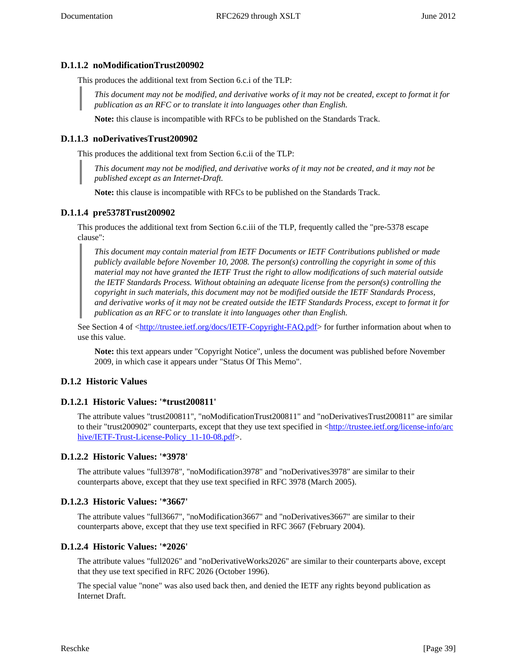### **D.1.1.2 noModificationTrust200902**

This produces the additional text from Section 6.c.i of the TLP:

*This document may not be modified, and derivative works of it may not be created, except to format it for publication as an RFC or to translate it into languages other than English.*

**Note:** this clause is incompatible with RFCs to be published on the Standards Track.

### <span id="page-38-0"></span>**D.1.1.3 noDerivativesTrust200902**

This produces the additional text from Section 6.c.ii of the TLP:

*This document may not be modified, and derivative works of it may not be created, and it may not be published except as an Internet-Draft.*

**Note:** this clause is incompatible with RFCs to be published on the Standards Track.

### <span id="page-38-1"></span>**D.1.1.4 pre5378Trust200902**

This produces the additional text from Section 6.c.iii of the TLP, frequently called the "pre-5378 escape clause":

*This document may contain material from IETF Documents or IETF Contributions published or made publicly available before November 10, 2008. The person(s) controlling the copyright in some of this material may not have granted the IETF Trust the right to allow modifications of such material outside the IETF Standards Process. Without obtaining an adequate license from the person(s) controlling the copyright in such materials, this document may not be modified outside the IETF Standards Process, and derivative works of it may not be created outside the IETF Standards Process, except to format it for publication as an RFC or to translate it into languages other than English.*

See Section 4 of [<http://trustee.ietf.org/docs/IETF-Copyright-FAQ.pdf>](http://trustee.ietf.org/docs/IETF-Copyright-FAQ.pdf) for further information about when to use this value.

**Note:** this text appears under "Copyright Notice", unless the document was published before November 2009, in which case it appears under "Status Of This Memo".

### <span id="page-38-2"></span>**D.1.2 Historic Values**

### <span id="page-38-3"></span>**D.1.2.1 Historic Values: '\*trust200811'**

The attribute values "trust200811", "noModificationTrust200811" and "noDerivativesTrust200811" are similar to their "trust200902" counterparts, except that they use text specified in <[http://trustee.ietf.org/license-info/arc](http://trustee.ietf.org/license-info/archive/IETF-Trust-License-Policy_11-10-08.pdf) hive/IETF-Trust-License-Policy 11-10-08.pdf>.

### <span id="page-38-4"></span>**D.1.2.2 Historic Values: '\*3978'**

The attribute values "full3978", "noModification3978" and "noDerivatives3978" are similar to their counterparts above, except that they use text specified in RFC 3978 (March 2005).

### <span id="page-38-5"></span>**D.1.2.3 Historic Values: '\*3667'**

The attribute values "full3667", "noModification3667" and "noDerivatives3667" are similar to their counterparts above, except that they use text specified in RFC 3667 (February 2004).

### <span id="page-38-6"></span>**D.1.2.4 Historic Values: '\*2026'**

The attribute values "full2026" and "noDerivativeWorks2026" are similar to their counterparts above, except that they use text specified in RFC 2026 (October 1996).

The special value "none" was also used back then, and denied the IETF any rights beyond publication as Internet Draft.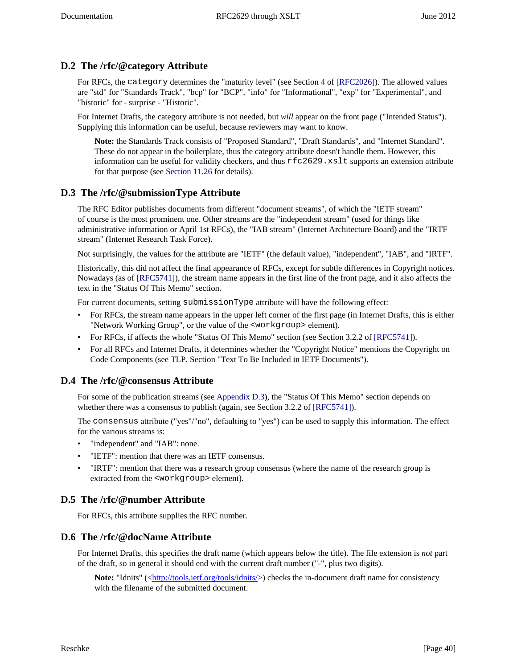## <span id="page-39-0"></span>**D.2 The /rfc/@category Attribute**

For RFCs, the category determines the "maturity level" (see Section 4 of [\[RFC2026\]\)](#page-30-9). The allowed values are "std" for "Standards Track", "bcp" for "BCP", "info" for "Informational", "exp" for "Experimental", and "historic" for - surprise - "Historic".

For Internet Drafts, the category attribute is not needed, but *will* appear on the front page ("Intended Status"). Supplying this information can be useful, because reviewers may want to know.

<span id="page-39-6"></span>**Note:** the Standards Track consists of "Proposed Standard", "Draft Standards", and "Internet Standard". These do not appear in the boilerplate, thus the category attribute doesn't handle them. However, this information can be useful for validity checkers, and thus rfc2629.xslt supports an extension attribute for that purpose (see [Section 11.26](#page-23-3) for details).

### <span id="page-39-1"></span>**D.3 The /rfc/@submissionType Attribute**

The RFC Editor publishes documents from different "document streams", of which the "IETF stream" of course is the most prominent one. Other streams are the "independent stream" (used for things like administrative information or April 1st RFCs), the "IAB stream" (Internet Architecture Board) and the "IRTF stream" (Internet Research Task Force).

Not surprisingly, the values for the attribute are "IETF" (the default value), "independent", "IAB", and "IRTF".

<span id="page-39-7"></span>Historically, this did not affect the final appearance of RFCs, except for subtle differences in Copyright notices. Nowadays (as of [\[RFC5741\]](#page-30-15)), the stream name appears in the first line of the front page, and it also affects the text in the "Status Of This Memo" section.

For current documents, setting submissionType attribute will have the following effect:

- For RFCs, the stream name appears in the upper left corner of the first page (in Internet Drafts, this is either "Network Working Group", or the value of the <workgroup> element).
- <span id="page-39-8"></span>• For RFCs, if affects the whole "Status Of This Memo" section (see Section 3.2.2 of [\[RFC5741\]](#page-30-15)).
- For all RFCs and Internet Drafts, it determines whether the "Copyright Notice" mentions the Copyright on Code Components (see TLP, Section "Text To Be Included in IETF Documents").

### <span id="page-39-2"></span>**D.4 The /rfc/@consensus Attribute**

<span id="page-39-9"></span>For some of the publication streams (see [Appendix D.3](#page-39-1)), the "Status Of This Memo" section depends on whether there was a consensus to publish (again, see Section 3.2.2 of [\[RFC5741\]](#page-30-15)).

The consensus attribute ("yes"/"no", defaulting to "yes") can be used to supply this information. The effect for the various streams is:

- "independent" and "IAB": none.
- "IETF": mention that there was an IETF consensus.
- "IRTF": mention that there was a research group consensus (where the name of the research group is extracted from the <workgroup> element).

### <span id="page-39-3"></span>**D.5 The /rfc/@number Attribute**

For RFCs, this attribute supplies the RFC number.

### <span id="page-39-4"></span>**D.6 The /rfc/@docName Attribute**

For Internet Drafts, this specifies the draft name (which appears below the title). The file extension is *not* part of the draft, so in general it should end with the current draft number ("-", plus two digits).

<span id="page-39-5"></span>**Note:** "Idnits" ([<http://tools.ietf.org/tools/idnits/](http://tools.ietf.org/tools/idnits/)>) checks the in-document draft name for consistency with the filename of the submitted document.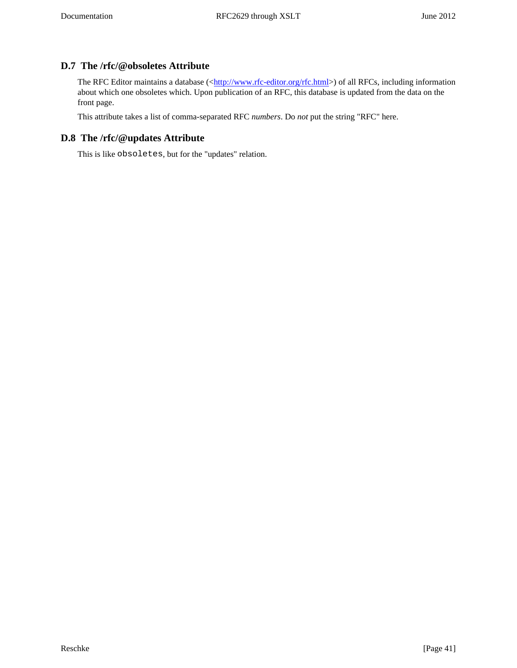# **D.7 The /rfc/@obsoletes Attribute**

The RFC Editor maintains a database ([<http://www.rfc-editor.org/rfc.html>](http://www.rfc-editor.org/rfc.html)) of all RFCs, including information about which one obsoletes which. Upon publication of an RFC, this database is updated from the data on the front page.

This attribute takes a list of comma-separated RFC *numbers*. Do *not* put the string "RFC" here.

# <span id="page-40-0"></span>**D.8 The /rfc/@updates Attribute**

This is like obsoletes, but for the "updates" relation.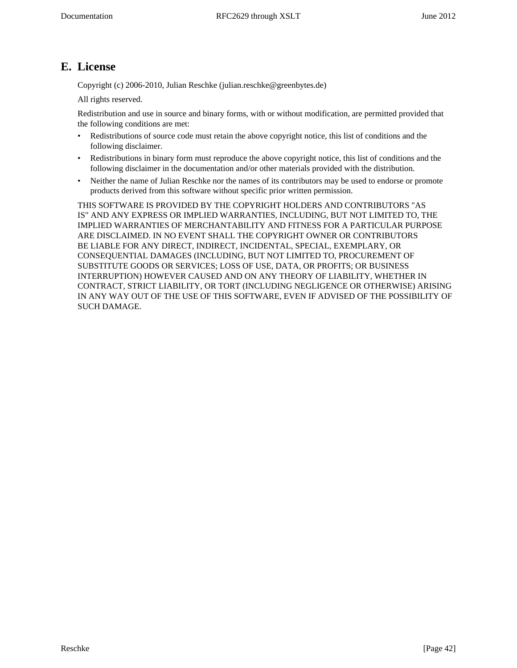# <span id="page-41-0"></span>**E. License**

Copyright (c) 2006-2010, Julian Reschke (julian.reschke@greenbytes.de)

All rights reserved.

Redistribution and use in source and binary forms, with or without modification, are permitted provided that the following conditions are met:

- Redistributions of source code must retain the above copyright notice, this list of conditions and the following disclaimer.
- Redistributions in binary form must reproduce the above copyright notice, this list of conditions and the following disclaimer in the documentation and/or other materials provided with the distribution.
- Neither the name of Julian Reschke nor the names of its contributors may be used to endorse or promote products derived from this software without specific prior written permission.

THIS SOFTWARE IS PROVIDED BY THE COPYRIGHT HOLDERS AND CONTRIBUTORS "AS IS" AND ANY EXPRESS OR IMPLIED WARRANTIES, INCLUDING, BUT NOT LIMITED TO, THE IMPLIED WARRANTIES OF MERCHANTABILITY AND FITNESS FOR A PARTICULAR PURPOSE ARE DISCLAIMED. IN NO EVENT SHALL THE COPYRIGHT OWNER OR CONTRIBUTORS BE LIABLE FOR ANY DIRECT, INDIRECT, INCIDENTAL, SPECIAL, EXEMPLARY, OR CONSEQUENTIAL DAMAGES (INCLUDING, BUT NOT LIMITED TO, PROCUREMENT OF SUBSTITUTE GOODS OR SERVICES; LOSS OF USE, DATA, OR PROFITS; OR BUSINESS INTERRUPTION) HOWEVER CAUSED AND ON ANY THEORY OF LIABILITY, WHETHER IN CONTRACT, STRICT LIABILITY, OR TORT (INCLUDING NEGLIGENCE OR OTHERWISE) ARISING IN ANY WAY OUT OF THE USE OF THIS SOFTWARE, EVEN IF ADVISED OF THE POSSIBILITY OF SUCH DAMAGE.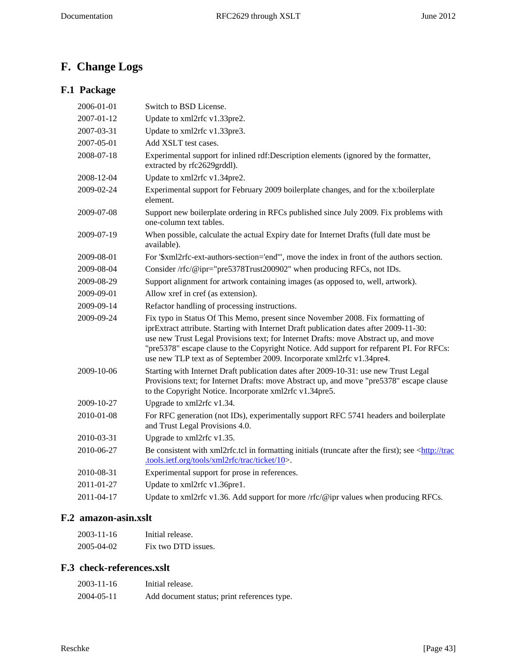# <span id="page-42-0"></span>**F. Change Logs**

# <span id="page-42-1"></span>**F.1 Package**

| 2006-01-01 | Switch to BSD License.                                                                                                                                                                                                                                                                                                                                                                                                                 |
|------------|----------------------------------------------------------------------------------------------------------------------------------------------------------------------------------------------------------------------------------------------------------------------------------------------------------------------------------------------------------------------------------------------------------------------------------------|
| 2007-01-12 | Update to xml2rfc v1.33pre2.                                                                                                                                                                                                                                                                                                                                                                                                           |
| 2007-03-31 | Update to xml2rfc v1.33pre3.                                                                                                                                                                                                                                                                                                                                                                                                           |
| 2007-05-01 | Add XSLT test cases.                                                                                                                                                                                                                                                                                                                                                                                                                   |
| 2008-07-18 | Experimental support for inlined rdf:Description elements (ignored by the formatter,<br>extracted by rfc2629grddl).                                                                                                                                                                                                                                                                                                                    |
| 2008-12-04 | Update to xml2rfc v1.34pre2.                                                                                                                                                                                                                                                                                                                                                                                                           |
| 2009-02-24 | Experimental support for February 2009 boilerplate changes, and for the x:boilerplate<br>element.                                                                                                                                                                                                                                                                                                                                      |
| 2009-07-08 | Support new boilerplate ordering in RFCs published since July 2009. Fix problems with<br>one-column text tables.                                                                                                                                                                                                                                                                                                                       |
| 2009-07-19 | When possible, calculate the actual Expiry date for Internet Drafts (full date must be<br>available).                                                                                                                                                                                                                                                                                                                                  |
| 2009-08-01 | For '\$xml2rfc-ext-authors-section='end'", move the index in front of the authors section.                                                                                                                                                                                                                                                                                                                                             |
| 2009-08-04 | Consider /rfc/@ipr="pre5378Trust200902" when producing RFCs, not IDs.                                                                                                                                                                                                                                                                                                                                                                  |
| 2009-08-29 | Support alignment for artwork containing images (as opposed to, well, artwork).                                                                                                                                                                                                                                                                                                                                                        |
| 2009-09-01 | Allow xref in cref (as extension).                                                                                                                                                                                                                                                                                                                                                                                                     |
| 2009-09-14 | Refactor handling of processing instructions.                                                                                                                                                                                                                                                                                                                                                                                          |
| 2009-09-24 | Fix typo in Status Of This Memo, present since November 2008. Fix formatting of<br>iprExtract attribute. Starting with Internet Draft publication dates after 2009-11-30:<br>use new Trust Legal Provisions text; for Internet Drafts: move Abstract up, and move<br>"pre5378" escape clause to the Copyright Notice. Add support for refparent PI. For RFCs:<br>use new TLP text as of September 2009. Incorporate xml2rfc v1.34pre4. |
| 2009-10-06 | Starting with Internet Draft publication dates after 2009-10-31: use new Trust Legal<br>Provisions text; for Internet Drafts: move Abstract up, and move "pre5378" escape clause<br>to the Copyright Notice. Incorporate xml2rfc v1.34pre5.                                                                                                                                                                                            |
| 2009-10-27 | Upgrade to xml2rfc v1.34.                                                                                                                                                                                                                                                                                                                                                                                                              |
| 2010-01-08 | For RFC generation (not IDs), experimentally support RFC 5741 headers and boilerplate<br>and Trust Legal Provisions 4.0.                                                                                                                                                                                                                                                                                                               |
| 2010-03-31 | Upgrade to xml2rfc v1.35.                                                                                                                                                                                                                                                                                                                                                                                                              |
| 2010-06-27 | Be consistent with xml2rfc.tcl in formatting initials (truncate after the first); see <http: trac<br="">.tools.ietf.org/tools/xml2rfc/trac/ticket/10&gt;.</http:>                                                                                                                                                                                                                                                                      |
| 2010-08-31 | Experimental support for prose in references.                                                                                                                                                                                                                                                                                                                                                                                          |
| 2011-01-27 | Update to xml2rfc v1.36pre1.                                                                                                                                                                                                                                                                                                                                                                                                           |
| 2011-04-17 | Update to xml2rfc v1.36. Add support for more /rfc/@ipr values when producing RFCs.                                                                                                                                                                                                                                                                                                                                                    |
|            |                                                                                                                                                                                                                                                                                                                                                                                                                                        |

# <span id="page-42-2"></span>**F.2 amazon-asin.xslt**

| 2003-11-16 | Initial release.    |
|------------|---------------------|
| 2005-04-02 | Fix two DTD issues. |

# <span id="page-42-3"></span>**F.3 check-references.xslt**

| 2003-11-16 | Initial release.                            |
|------------|---------------------------------------------|
| 2004-05-11 | Add document status; print references type. |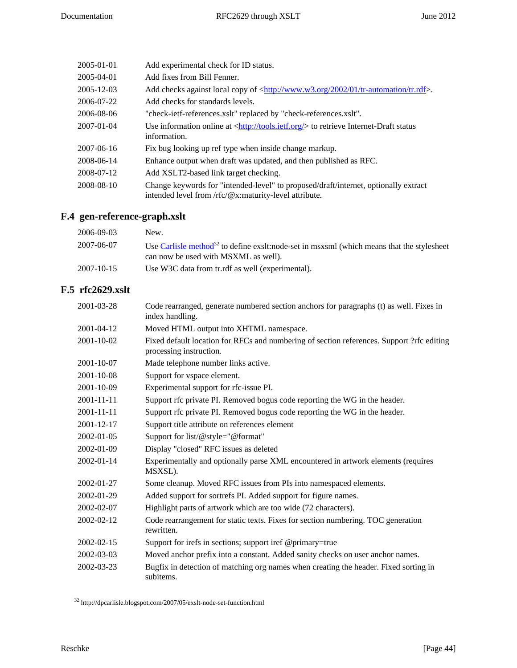| 2005-01-01       | Add experimental check for ID status.                                                                                                                         |
|------------------|---------------------------------------------------------------------------------------------------------------------------------------------------------------|
| 2005-04-01       | Add fixes from Bill Fenner.                                                                                                                                   |
| 2005-12-03       | Add checks against local copy of $\langle \frac{http://www.w3.org/2002/01/tr-automation/tr.rdf }{$ .                                                          |
| 2006-07-22       | Add checks for standards levels.                                                                                                                              |
| 2006-08-06       | "check-ietf-references.xslt" replaced by "check-references.xslt".                                                                                             |
| $2007 - 01 - 04$ | Use information online at $\langle \frac{http://tools.ietf.org/}{http://tools.ietf.org/}{\rangle}$ to retrieve Internet-Draft status<br>information.          |
| 2007-06-16       | Fix bug looking up ref type when inside change markup.                                                                                                        |
| 2008-06-14       | Enhance output when draft was updated, and then published as RFC.                                                                                             |
| 2008-07-12       | Add XSLT2-based link target checking.                                                                                                                         |
| 2008-08-10       | Change keywords for "intended-level" to proposed/draft/internet, optionally extract<br>intended level from $\pi$ c/ $\mathcal{Q}$ x:maturity-level attribute. |

# <span id="page-43-0"></span>**F.4 gen-reference-graph.xslt**

| 2006-09-03       | New.                                                                                                                                    |
|------------------|-----------------------------------------------------------------------------------------------------------------------------------------|
| 2007-06-07       | Use Carlisle method $^{32}$ to define exslt:node-set in msxsml (which means that the stylesheet<br>can now be used with MSXML as well). |
| $2007 - 10 - 15$ | Use W3C data from tr. rdf as well (experimental).                                                                                       |

# <span id="page-43-1"></span>**F.5 rfc2629.xslt**

| 2001-03-28       | Code rearranged, generate numbered section anchors for paragraphs (t) as well. Fixes in<br>index handling.           |
|------------------|----------------------------------------------------------------------------------------------------------------------|
| 2001-04-12       | Moved HTML output into XHTML namespace.                                                                              |
| 2001-10-02       | Fixed default location for RFCs and numbering of section references. Support ?rfc editing<br>processing instruction. |
| 2001-10-07       | Made telephone number links active.                                                                                  |
| 2001-10-08       | Support for vspace element.                                                                                          |
| 2001-10-09       | Experimental support for rfc-issue PI.                                                                               |
| $2001 - 11 - 11$ | Support rfc private PI. Removed bogus code reporting the WG in the header.                                           |
| 2001-11-11       | Support rfc private PI. Removed bogus code reporting the WG in the header.                                           |
| 2001-12-17       | Support title attribute on references element                                                                        |
| 2002-01-05       | Support for list/@style="@format"                                                                                    |
| 2002-01-09       | Display "closed" RFC issues as deleted                                                                               |
| 2002-01-14       | Experimentally and optionally parse XML encountered in artwork elements (requires<br>MSXSL).                         |
| 2002-01-27       | Some cleanup. Moved RFC issues from PIs into namespaced elements.                                                    |
| 2002-01-29       | Added support for sortrefs PI. Added support for figure names.                                                       |
| 2002-02-07       | Highlight parts of artwork which are too wide (72 characters).                                                       |
| 2002-02-12       | Code rearrangement for static texts. Fixes for section numbering. TOC generation<br>rewritten.                       |
| 2002-02-15       | Support for irefs in sections; support iref @primary=true                                                            |
| 2002-03-03       | Moved anchor prefix into a constant. Added sanity checks on user anchor names.                                       |
| 2002-03-23       | Bugfix in detection of matching org names when creating the header. Fixed sorting in<br>subitems.                    |

 $^{32}$ http://dpcarlisle.blogspot.com/2007/05/exslt-node-set-function.html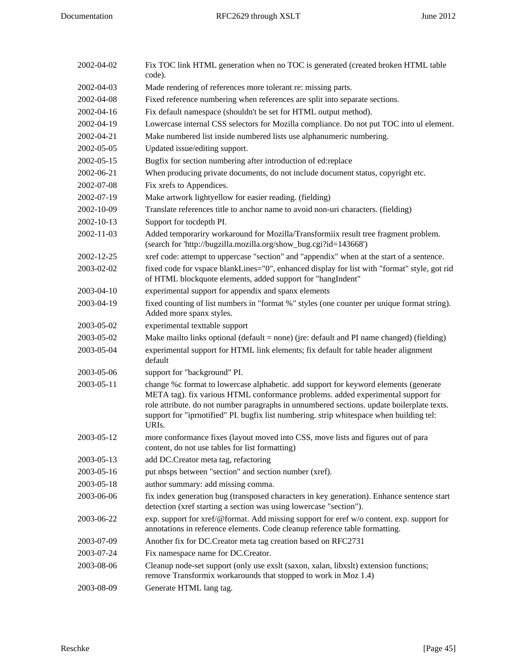| 2002-04-02 | Fix TOC link HTML generation when no TOC is generated (created broken HTML table<br>code).                                                                                                                                                                                                                                                                                               |
|------------|------------------------------------------------------------------------------------------------------------------------------------------------------------------------------------------------------------------------------------------------------------------------------------------------------------------------------------------------------------------------------------------|
| 2002-04-03 | Made rendering of references more tolerant re: missing parts.                                                                                                                                                                                                                                                                                                                            |
| 2002-04-08 | Fixed reference numbering when references are split into separate sections.                                                                                                                                                                                                                                                                                                              |
| 2002-04-16 | Fix default namespace (shouldn't be set for HTML output method).                                                                                                                                                                                                                                                                                                                         |
| 2002-04-19 | Lowercase internal CSS selectors for Mozilla compliance. Do not put TOC into ul element.                                                                                                                                                                                                                                                                                                 |
| 2002-04-21 | Make numbered list inside numbered lists use alphanumeric numbering.                                                                                                                                                                                                                                                                                                                     |
| 2002-05-05 | Updated issue/editing support.                                                                                                                                                                                                                                                                                                                                                           |
| 2002-05-15 | Bugfix for section numbering after introduction of ed:replace                                                                                                                                                                                                                                                                                                                            |
| 2002-06-21 | When producing private documents, do not include document status, copyright etc.                                                                                                                                                                                                                                                                                                         |
| 2002-07-08 | Fix xrefs to Appendices.                                                                                                                                                                                                                                                                                                                                                                 |
| 2002-07-19 | Make artwork lightyellow for easier reading. (fielding)                                                                                                                                                                                                                                                                                                                                  |
| 2002-10-09 | Translate references title to anchor name to avoid non-uri characters. (fielding)                                                                                                                                                                                                                                                                                                        |
| 2002-10-13 | Support for tocdepth PI.                                                                                                                                                                                                                                                                                                                                                                 |
| 2002-11-03 | Added temporariry workaround for Mozilla/Transformiix result tree fragment problem.<br>(search for 'http://bugzilla.mozilla.org/show_bug.cgi?id=143668')                                                                                                                                                                                                                                 |
| 2002-12-25 | xref code: attempt to uppercase "section" and "appendix" when at the start of a sentence.                                                                                                                                                                                                                                                                                                |
| 2003-02-02 | fixed code for vspace blankLines="0", enhanced display for list with "format" style, got rid<br>of HTML blockquote elements, added support for "hangIndent"                                                                                                                                                                                                                              |
| 2003-04-10 | experimental support for appendix and spanx elements                                                                                                                                                                                                                                                                                                                                     |
| 2003-04-19 | fixed counting of list numbers in "format %" styles (one counter per unique format string).<br>Added more spanx styles.                                                                                                                                                                                                                                                                  |
| 2003-05-02 | experimental texttable support                                                                                                                                                                                                                                                                                                                                                           |
| 2003-05-02 | Make mailto links optional (default = none) (jre: default and PI name changed) (fielding)                                                                                                                                                                                                                                                                                                |
| 2003-05-04 | experimental support for HTML link elements; fix default for table header alignment<br>default                                                                                                                                                                                                                                                                                           |
| 2003-05-06 | support for "background" PI.                                                                                                                                                                                                                                                                                                                                                             |
| 2003-05-11 | change %c format to lowercase alphabetic. add support for keyword elements (generate<br>META tag). fix various HTML conformance problems. added experimental support for<br>role attribute. do not number paragraphs in unnumbered sections. update boilerplate texts.<br>support for "iprnotified" PI. bugfix list numbering. strip whitespace when building tel:<br>URI <sub>s</sub> . |
| 2003-05-12 | more conformance fixes (layout moved into CSS, move lists and figures out of para<br>content, do not use tables for list formatting)                                                                                                                                                                                                                                                     |
| 2003-05-13 | add DC.Creator meta tag, refactoring                                                                                                                                                                                                                                                                                                                                                     |
| 2003-05-16 | put nbsps between "section" and section number (xref).                                                                                                                                                                                                                                                                                                                                   |
| 2003-05-18 | author summary: add missing comma.                                                                                                                                                                                                                                                                                                                                                       |
| 2003-06-06 | fix index generation bug (transposed characters in key generation). Enhance sentence start<br>detection (xref starting a section was using lowercase "section").                                                                                                                                                                                                                         |
| 2003-06-22 | exp. support for xref/@format. Add missing support for eref w/o content. exp. support for<br>annotations in reference elements. Code cleanup reference table formatting.                                                                                                                                                                                                                 |
| 2003-07-09 | Another fix for DC.Creator meta tag creation based on RFC2731                                                                                                                                                                                                                                                                                                                            |
| 2003-07-24 | Fix namespace name for DC.Creator.                                                                                                                                                                                                                                                                                                                                                       |
| 2003-08-06 | Cleanup node-set support (only use exslt (saxon, xalan, libxslt) extension functions;<br>remove Transformix workarounds that stopped to work in Moz 1.4)                                                                                                                                                                                                                                 |
| 2003-08-09 | Generate HTML lang tag.                                                                                                                                                                                                                                                                                                                                                                  |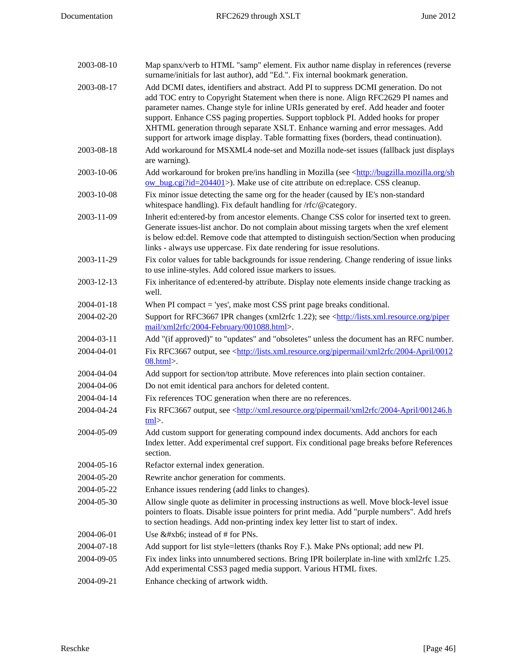| 2003-08-10 | Map spanx/verb to HTML "samp" element. Fix author name display in references (reverse<br>surname/initials for last author), add "Ed.". Fix internal bookmark generation.                                                                                                                                                                                                                                                                                                                                                                    |
|------------|---------------------------------------------------------------------------------------------------------------------------------------------------------------------------------------------------------------------------------------------------------------------------------------------------------------------------------------------------------------------------------------------------------------------------------------------------------------------------------------------------------------------------------------------|
| 2003-08-17 | Add DCMI dates, identifiers and abstract. Add PI to suppress DCMI generation. Do not<br>add TOC entry to Copyright Statement when there is none. Align RFC2629 PI names and<br>parameter names. Change style for inline URIs generated by eref. Add header and footer<br>support. Enhance CSS paging properties. Support topblock PI. Added hooks for proper<br>XHTML generation through separate XSLT. Enhance warning and error messages. Add<br>support for artwork image display. Table formatting fixes (borders, thead continuation). |
| 2003-08-18 | Add workaround for MSXML4 node-set and Mozilla node-set issues (fallback just displays<br>are warning).                                                                                                                                                                                                                                                                                                                                                                                                                                     |
| 2003-10-06 | Add workaround for broken pre/ins handling in Mozilla (see <http: bugzilla.mozilla.org="" sh<br="">ow_bug.cgi?id=204401&gt;). Make use of cite attribute on ed:replace. CSS cleanup.</http:>                                                                                                                                                                                                                                                                                                                                                |
| 2003-10-08 | Fix minor issue detecting the same org for the header (caused by IE's non-standard<br>whitespace handling). Fix default handling for /rfc/@category.                                                                                                                                                                                                                                                                                                                                                                                        |
| 2003-11-09 | Inherit ed: entered-by from ancestor elements. Change CSS color for inserted text to green.<br>Generate issues-list anchor. Do not complain about missing targets when the xref element<br>is below ed:del. Remove code that attempted to distinguish section/Section when producing<br>links - always use uppercase. Fix date rendering for issue resolutions.                                                                                                                                                                             |
| 2003-11-29 | Fix color values for table backgrounds for issue rendering. Change rendering of issue links<br>to use inline-styles. Add colored issue markers to issues.                                                                                                                                                                                                                                                                                                                                                                                   |
| 2003-12-13 | Fix inheritance of ed: entered-by attribute. Display note elements inside change tracking as<br>well.                                                                                                                                                                                                                                                                                                                                                                                                                                       |
| 2004-01-18 | When PI compact $=$ 'yes', make most CSS print page breaks conditional.                                                                                                                                                                                                                                                                                                                                                                                                                                                                     |
| 2004-02-20 | Support for RFC3667 IPR changes (xml2rfc 1.22); see <http: lists.xml.resource.org="" piper<br="">mail/xml2rfc/2004-February/001088.html&gt;.</http:>                                                                                                                                                                                                                                                                                                                                                                                        |
| 2004-03-11 | Add "(if approved)" to "updates" and "obsoletes" unless the document has an RFC number.                                                                                                                                                                                                                                                                                                                                                                                                                                                     |
| 2004-04-01 | Fix RFC3667 output, see <http: 0012<br="" 2004-april="" lists.xml.resource.org="" pipermail="" xml2rfc=""><math>08.html</math>.</http:>                                                                                                                                                                                                                                                                                                                                                                                                     |
| 2004-04-04 | Add support for section/top attribute. Move references into plain section container.                                                                                                                                                                                                                                                                                                                                                                                                                                                        |
| 2004-04-06 | Do not emit identical para anchors for deleted content.                                                                                                                                                                                                                                                                                                                                                                                                                                                                                     |
| 2004-04-14 | Fix references TOC generation when there are no references.                                                                                                                                                                                                                                                                                                                                                                                                                                                                                 |
| 2004-04-24 | Fix RFC3667 output, see <http: 001246.h<br="" 2004-april="" pipermail="" xml.resource.org="" xml2rfc="">tml</http:>                                                                                                                                                                                                                                                                                                                                                                                                                         |
| 2004-05-09 | Add custom support for generating compound index documents. Add anchors for each<br>Index letter. Add experimental cref support. Fix conditional page breaks before References<br>section.                                                                                                                                                                                                                                                                                                                                                  |
| 2004-05-16 | Refactor external index generation.                                                                                                                                                                                                                                                                                                                                                                                                                                                                                                         |
| 2004-05-20 | Rewrite anchor generation for comments.                                                                                                                                                                                                                                                                                                                                                                                                                                                                                                     |
| 2004-05-22 | Enhance issues rendering (add links to changes).                                                                                                                                                                                                                                                                                                                                                                                                                                                                                            |
| 2004-05-30 | Allow single quote as delimiter in processing instructions as well. Move block-level issue<br>pointers to floats. Disable issue pointers for print media. Add "purple numbers". Add hrefs<br>to section headings. Add non-printing index key letter list to start of index.                                                                                                                                                                                                                                                                 |
| 2004-06-01 | Use ¶ instead of # for PNs.                                                                                                                                                                                                                                                                                                                                                                                                                                                                                                                 |
| 2004-07-18 | Add support for list style=letters (thanks Roy F.). Make PNs optional; add new PI.                                                                                                                                                                                                                                                                                                                                                                                                                                                          |
| 2004-09-05 | Fix index links into unnumbered sections. Bring IPR boilerplate in-line with xml2rfc 1.25.<br>Add experimental CSS3 paged media support. Various HTML fixes.                                                                                                                                                                                                                                                                                                                                                                                |
| 2004-09-21 | Enhance checking of artwork width.                                                                                                                                                                                                                                                                                                                                                                                                                                                                                                          |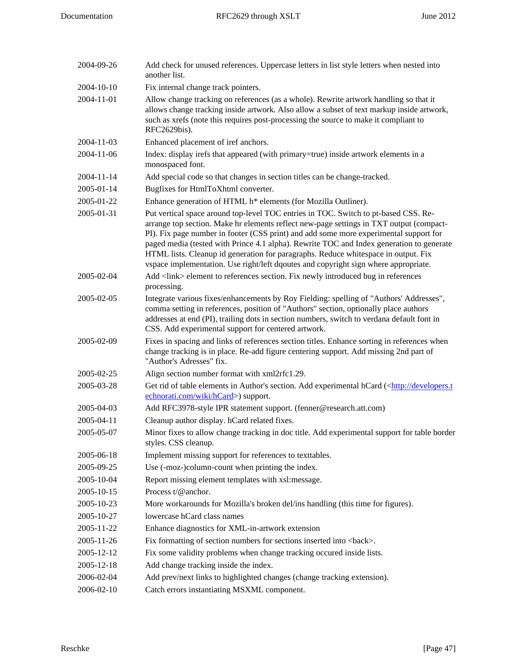| 2004-09-26 | Add check for unused references. Uppercase letters in list style letters when nested into<br>another list.                                                                                                                                                                                                                                                                                                                                                                                                                                       |
|------------|--------------------------------------------------------------------------------------------------------------------------------------------------------------------------------------------------------------------------------------------------------------------------------------------------------------------------------------------------------------------------------------------------------------------------------------------------------------------------------------------------------------------------------------------------|
| 2004-10-10 | Fix internal change track pointers.                                                                                                                                                                                                                                                                                                                                                                                                                                                                                                              |
| 2004-11-01 | Allow change tracking on references (as a whole). Rewrite artwork handling so that it<br>allows change tracking inside artwork. Also allow a subset of text markup inside artwork,<br>such as xrefs (note this requires post-processing the source to make it compliant to<br>RFC2629bis).                                                                                                                                                                                                                                                       |
| 2004-11-03 | Enhanced placement of iref anchors.                                                                                                                                                                                                                                                                                                                                                                                                                                                                                                              |
| 2004-11-06 | Index: display irefs that appeared (with primary=true) inside artwork elements in a<br>monospaced font.                                                                                                                                                                                                                                                                                                                                                                                                                                          |
| 2004-11-14 | Add special code so that changes in section titles can be change-tracked.                                                                                                                                                                                                                                                                                                                                                                                                                                                                        |
| 2005-01-14 | Bugfixes for HtmlToXhtml converter.                                                                                                                                                                                                                                                                                                                                                                                                                                                                                                              |
| 2005-01-22 | Enhance generation of HTML h* elements (for Mozilla Outliner).                                                                                                                                                                                                                                                                                                                                                                                                                                                                                   |
| 2005-01-31 | Put vertical space around top-level TOC entries in TOC. Switch to pt-based CSS. Re-<br>arrange top section. Make hr elements reflect new-page settings in TXT output (compact-<br>PI). Fix page number in footer (CSS print) and add some more experimental support for<br>paged media (tested with Prince 4.1 alpha). Rewrite TOC and Index generation to generate<br>HTML lists. Cleanup id generation for paragraphs. Reduce whitespace in output. Fix<br>vspace implementation. Use right/left dqoutes and copyright sign where appropriate. |
| 2005-02-04 | Add <link/> element to references section. Fix newly introduced bug in references<br>processing.                                                                                                                                                                                                                                                                                                                                                                                                                                                 |
| 2005-02-05 | Integrate various fixes/enhancements by Roy Fielding: spelling of "Authors' Addresses",<br>comma setting in references, position of "Authors" section, optionally place authors<br>addresses at end (PI), trailing dots in section numbers, switch to verdana default font in<br>CSS. Add experimental support for centered artwork.                                                                                                                                                                                                             |
| 2005-02-09 | Fixes in spacing and links of references section titles. Enhance sorting in references when<br>change tracking is in place. Re-add figure centering support. Add missing 2nd part of<br>"Author's Adresses" fix.                                                                                                                                                                                                                                                                                                                                 |
| 2005-02-25 | Align section number format with xml2rfc1.29.                                                                                                                                                                                                                                                                                                                                                                                                                                                                                                    |
| 2005-03-28 | Get rid of table elements in Author's section. Add experimental hCard ( <http: developers.t<br="">echnorati.com/wiki/hCard&gt;) support.</http:>                                                                                                                                                                                                                                                                                                                                                                                                 |
| 2005-04-03 | Add RFC3978-style IPR statement support. (fenner@research.att.com)                                                                                                                                                                                                                                                                                                                                                                                                                                                                               |
| 2005-04-11 | Cleanup author display. hCard related fixes.                                                                                                                                                                                                                                                                                                                                                                                                                                                                                                     |
| 2005-05-07 | Minor fixes to allow change tracking in doc title. Add experimental support for table border<br>styles. CSS cleanup.                                                                                                                                                                                                                                                                                                                                                                                                                             |
| 2005-06-18 | Implement missing support for references to texttables.                                                                                                                                                                                                                                                                                                                                                                                                                                                                                          |
| 2005-09-25 | Use (-moz-)column-count when printing the index.                                                                                                                                                                                                                                                                                                                                                                                                                                                                                                 |
| 2005-10-04 | Report missing element templates with xsl:message.                                                                                                                                                                                                                                                                                                                                                                                                                                                                                               |
| 2005-10-15 | Process t/@anchor.                                                                                                                                                                                                                                                                                                                                                                                                                                                                                                                               |
| 2005-10-23 | More workarounds for Mozilla's broken del/ins handling (this time for figures).                                                                                                                                                                                                                                                                                                                                                                                                                                                                  |
| 2005-10-27 | lowercase hCard class names                                                                                                                                                                                                                                                                                                                                                                                                                                                                                                                      |
| 2005-11-22 | Enhance diagnostics for XML-in-artwork extension                                                                                                                                                                                                                                                                                                                                                                                                                                                                                                 |
| 2005-11-26 | Fix formatting of section numbers for sections inserted into<br>back>.                                                                                                                                                                                                                                                                                                                                                                                                                                                                           |
| 2005-12-12 | Fix some validity problems when change tracking occured inside lists.                                                                                                                                                                                                                                                                                                                                                                                                                                                                            |
| 2005-12-18 | Add change tracking inside the index.                                                                                                                                                                                                                                                                                                                                                                                                                                                                                                            |
| 2006-02-04 | Add prev/next links to highlighted changes (change tracking extension).                                                                                                                                                                                                                                                                                                                                                                                                                                                                          |
| 2006-02-10 | Catch errors instantiating MSXML component.                                                                                                                                                                                                                                                                                                                                                                                                                                                                                                      |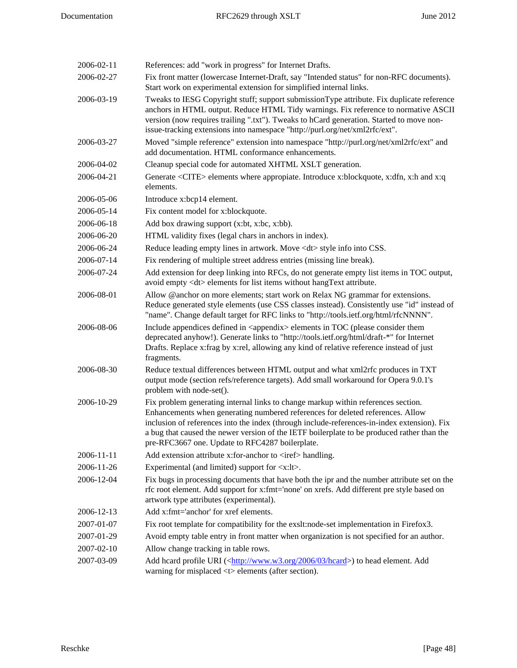| 2006-02-11 | References: add "work in progress" for Internet Drafts.                                                                                                                                                                                                                                                                                                                                                             |
|------------|---------------------------------------------------------------------------------------------------------------------------------------------------------------------------------------------------------------------------------------------------------------------------------------------------------------------------------------------------------------------------------------------------------------------|
| 2006-02-27 | Fix front matter (lowercase Internet-Draft, say "Intended status" for non-RFC documents).<br>Start work on experimental extension for simplified internal links.                                                                                                                                                                                                                                                    |
| 2006-03-19 | Tweaks to IESG Copyright stuff; support submissionType attribute. Fix duplicate reference<br>anchors in HTML output. Reduce HTML Tidy warnings. Fix reference to normative ASCII<br>version (now requires trailing ".txt"). Tweaks to hCard generation. Started to move non-<br>issue-tracking extensions into namespace "http://purl.org/net/xml2rfc/ext".                                                         |
| 2006-03-27 | Moved "simple reference" extension into namespace "http://purl.org/net/xml2rfc/ext" and<br>add documentation. HTML conformance enhancements.                                                                                                                                                                                                                                                                        |
| 2006-04-02 | Cleanup special code for automated XHTML XSLT generation.                                                                                                                                                                                                                                                                                                                                                           |
| 2006-04-21 | Generate <cite> elements where appropiate. Introduce x:blockquote, x:dfn, x:h and x:q<br/>elements.</cite>                                                                                                                                                                                                                                                                                                          |
| 2006-05-06 | Introduce x:bcp14 element.                                                                                                                                                                                                                                                                                                                                                                                          |
| 2006-05-14 | Fix content model for x:blockquote.                                                                                                                                                                                                                                                                                                                                                                                 |
| 2006-06-18 | Add box drawing support (x:bt, x:bc, x:bb).                                                                                                                                                                                                                                                                                                                                                                         |
| 2006-06-20 | HTML validity fixes (legal chars in anchors in index).                                                                                                                                                                                                                                                                                                                                                              |
| 2006-06-24 | Reduce leading empty lines in artwork. Move <dt> style info into CSS.</dt>                                                                                                                                                                                                                                                                                                                                          |
| 2006-07-14 | Fix rendering of multiple street address entries (missing line break).                                                                                                                                                                                                                                                                                                                                              |
| 2006-07-24 | Add extension for deep linking into RFCs, do not generate empty list items in TOC output,<br>avoid empty <dt> elements for list items without hangText attribute.</dt>                                                                                                                                                                                                                                              |
| 2006-08-01 | Allow @anchor on more elements; start work on Relax NG grammar for extensions.<br>Reduce generated style elements (use CSS classes instead). Consistently use "id" instead of<br>"name". Change default target for RFC links to "http://tools.ietf.org/html/rfcNNNN".                                                                                                                                               |
| 2006-08-06 | Include appendices defined in <appendix> elements in TOC (please consider them<br/>deprecated anyhow!). Generate links to "http://tools.ietf.org/html/draft-*" for Internet<br/>Drafts. Replace x:frag by x:rel, allowing any kind of relative reference instead of just<br/>fragments.</appendix>                                                                                                                  |
| 2006-08-30 | Reduce textual differences between HTML output and what xml2rfc produces in TXT<br>output mode (section refs/reference targets). Add small workaround for Opera 9.0.1's<br>problem with node-set().                                                                                                                                                                                                                 |
| 2006-10-29 | Fix problem generating internal links to change markup within references section.<br>Enhancements when generating numbered references for deleted references. Allow<br>inclusion of references into the index (through include-references-in-index extension). Fix<br>a bug that caused the newer version of the IETF boilerplate to be produced rather than the<br>pre-RFC3667 one. Update to RFC4287 boilerplate. |
| 2006-11-11 | Add extension attribute x:for-anchor to <iref> handling.</iref>                                                                                                                                                                                                                                                                                                                                                     |
| 2006-11-26 | Experimental (and limited) support for $\langle x: l \rangle$ .                                                                                                                                                                                                                                                                                                                                                     |
| 2006-12-04 | Fix bugs in processing documents that have both the ipr and the number attribute set on the<br>rfc root element. Add support for x:fmt='none' on xrefs. Add different pre style based on<br>artwork type attributes (experimental).                                                                                                                                                                                 |
| 2006-12-13 | Add x:fmt='anchor' for xref elements.                                                                                                                                                                                                                                                                                                                                                                               |
| 2007-01-07 | Fix root template for compatibility for the exslt:node-set implementation in Firefox3.                                                                                                                                                                                                                                                                                                                              |
| 2007-01-29 | Avoid empty table entry in front matter when organization is not specified for an author.                                                                                                                                                                                                                                                                                                                           |
| 2007-02-10 | Allow change tracking in table rows.                                                                                                                                                                                                                                                                                                                                                                                |
| 2007-03-09 | Add hcard profile URI ( <http: 03="" 2006="" hcard="" www.w3.org="">) to head element. Add<br/>warning for misplaced <t> elements (after section).</t></http:>                                                                                                                                                                                                                                                      |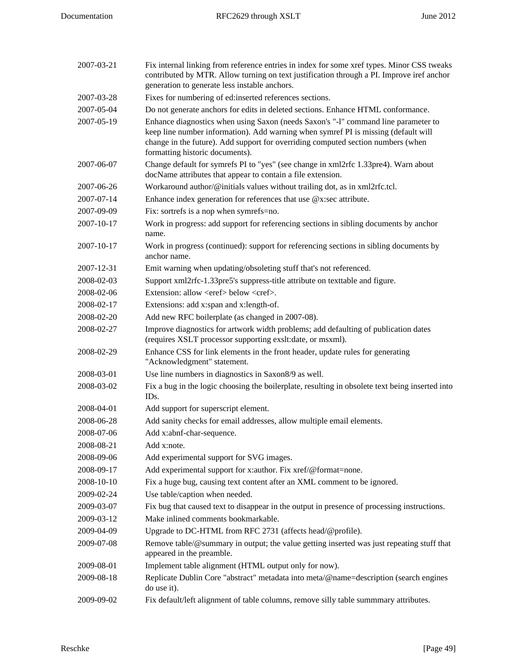| 2007-03-21 | Fix internal linking from reference entries in index for some xref types. Minor CSS tweaks<br>contributed by MTR. Allow turning on text justification through a PI. Improve iref anchor<br>generation to generate less instable anchors.                                                        |
|------------|-------------------------------------------------------------------------------------------------------------------------------------------------------------------------------------------------------------------------------------------------------------------------------------------------|
| 2007-03-28 | Fixes for numbering of ed:inserted references sections.                                                                                                                                                                                                                                         |
| 2007-05-04 | Do not generate anchors for edits in deleted sections. Enhance HTML conformance.                                                                                                                                                                                                                |
| 2007-05-19 | Enhance diagnostics when using Saxon (needs Saxon's "-1" command line parameter to<br>keep line number information). Add warning when symref PI is missing (default will<br>change in the future). Add support for overriding computed section numbers (when<br>formatting historic documents). |
| 2007-06-07 | Change default for symrefs PI to "yes" (see change in xml2rfc 1.33pre4). Warn about<br>docName attributes that appear to contain a file extension.                                                                                                                                              |
| 2007-06-26 | Workaround author/@initials values without trailing dot, as in xml2rfc.tcl.                                                                                                                                                                                                                     |
| 2007-07-14 | Enhance index generation for references that use $@x$ : sec attribute.                                                                                                                                                                                                                          |
| 2007-09-09 | Fix: sortrefs is a nop when symrefs=no.                                                                                                                                                                                                                                                         |
| 2007-10-17 | Work in progress: add support for referencing sections in sibling documents by anchor<br>name.                                                                                                                                                                                                  |
| 2007-10-17 | Work in progress (continued): support for referencing sections in sibling documents by<br>anchor name.                                                                                                                                                                                          |
| 2007-12-31 | Emit warning when updating/obsoleting stuff that's not referenced.                                                                                                                                                                                                                              |
| 2008-02-03 | Support xml2rfc-1.33pre5's suppress-title attribute on texttable and figure.                                                                                                                                                                                                                    |
| 2008-02-06 | Extension: allow <eref> below <cref>.</cref></eref>                                                                                                                                                                                                                                             |
| 2008-02-17 | Extensions: add x:span and x:length-of.                                                                                                                                                                                                                                                         |
| 2008-02-20 | Add new RFC boilerplate (as changed in 2007-08).                                                                                                                                                                                                                                                |
| 2008-02-27 | Improve diagnostics for artwork width problems; add defaulting of publication dates<br>(requires XSLT processor supporting exslt:date, or msxml).                                                                                                                                               |
| 2008-02-29 | Enhance CSS for link elements in the front header, update rules for generating<br>"Acknowledgment" statement.                                                                                                                                                                                   |
| 2008-03-01 | Use line numbers in diagnostics in Saxon8/9 as well.                                                                                                                                                                                                                                            |
| 2008-03-02 | Fix a bug in the logic choosing the boilerplate, resulting in obsolete text being inserted into<br>ID <sub>s</sub> .                                                                                                                                                                            |
| 2008-04-01 | Add support for superscript element.                                                                                                                                                                                                                                                            |
| 2008-06-28 | Add sanity checks for email addresses, allow multiple email elements.                                                                                                                                                                                                                           |
| 2008-07-06 | Add x:abnf-char-sequence.                                                                                                                                                                                                                                                                       |
| 2008-08-21 | Add x:note.                                                                                                                                                                                                                                                                                     |
| 2008-09-06 | Add experimental support for SVG images.                                                                                                                                                                                                                                                        |
| 2008-09-17 | Add experimental support for x:author. Fix xref/@format=none.                                                                                                                                                                                                                                   |
| 2008-10-10 | Fix a huge bug, causing text content after an XML comment to be ignored.                                                                                                                                                                                                                        |
| 2009-02-24 | Use table/caption when needed.                                                                                                                                                                                                                                                                  |
| 2009-03-07 | Fix bug that caused text to disappear in the output in presence of processing instructions.                                                                                                                                                                                                     |
| 2009-03-12 | Make inlined comments bookmarkable.                                                                                                                                                                                                                                                             |
| 2009-04-09 | Upgrade to DC-HTML from RFC 2731 (affects head/@profile).                                                                                                                                                                                                                                       |
| 2009-07-08 | Remove table/@summary in output; the value getting inserted was just repeating stuff that<br>appeared in the preamble.                                                                                                                                                                          |
| 2009-08-01 | Implement table alignment (HTML output only for now).                                                                                                                                                                                                                                           |
| 2009-08-18 | Replicate Dublin Core "abstract" metadata into meta/@name=description (search engines<br>do use it).                                                                                                                                                                                            |
| 2009-09-02 | Fix default/left alignment of table columns, remove silly table summmary attributes.                                                                                                                                                                                                            |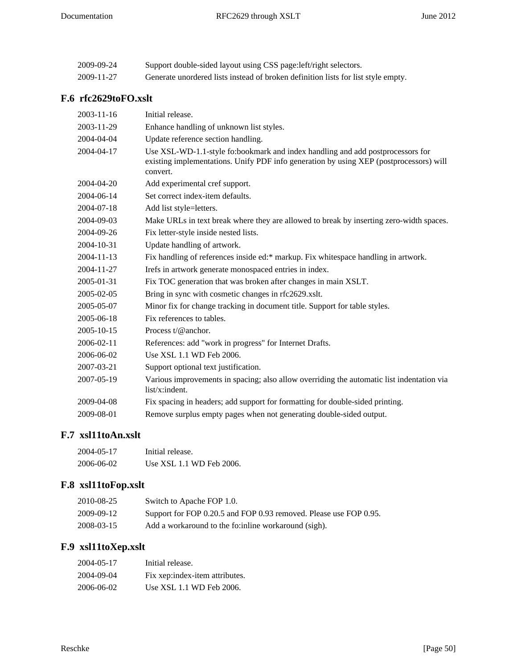| 2009-09-24 | Support double-sided layout using CSS page: left/right selectors.                 |
|------------|-----------------------------------------------------------------------------------|
| 2009-11-27 | Generate unordered lists instead of broken definition lists for list style empty. |

# <span id="page-49-0"></span>**F.6 rfc2629toFO.xslt**

| $2003 - 11 - 16$ | Initial release.                                                                                                                                                                     |
|------------------|--------------------------------------------------------------------------------------------------------------------------------------------------------------------------------------|
| 2003-11-29       | Enhance handling of unknown list styles.                                                                                                                                             |
| 2004-04-04       | Update reference section handling.                                                                                                                                                   |
| 2004-04-17       | Use XSL-WD-1.1-style fo:bookmark and index handling and add postprocessors for<br>existing implementations. Unify PDF info generation by using XEP (postprocessors) will<br>convert. |
| 2004-04-20       | Add experimental cref support.                                                                                                                                                       |
| 2004-06-14       | Set correct index-item defaults.                                                                                                                                                     |
| 2004-07-18       | Add list style=letters.                                                                                                                                                              |
| 2004-09-03       | Make URLs in text break where they are allowed to break by inserting zero-width spaces.                                                                                              |
| 2004-09-26       | Fix letter-style inside nested lists.                                                                                                                                                |
| 2004-10-31       | Update handling of artwork.                                                                                                                                                          |
| 2004-11-13       | Fix handling of references inside ed:* markup. Fix whitespace handling in artwork.                                                                                                   |
| 2004-11-27       | Irefs in artwork generate monospaced entries in index.                                                                                                                               |
| 2005-01-31       | Fix TOC generation that was broken after changes in main XSLT.                                                                                                                       |
| 2005-02-05       | Bring in sync with cosmetic changes in rfc2629.xslt.                                                                                                                                 |
| 2005-05-07       | Minor fix for change tracking in document title. Support for table styles.                                                                                                           |
| 2005-06-18       | Fix references to tables.                                                                                                                                                            |
| 2005-10-15       | Process $t/\omega$ anchor.                                                                                                                                                           |
| 2006-02-11       | References: add "work in progress" for Internet Drafts.                                                                                                                              |
| 2006-06-02       | Use XSL 1.1 WD Feb 2006.                                                                                                                                                             |
| 2007-03-21       | Support optional text justification.                                                                                                                                                 |
| 2007-05-19       | Various improvements in spacing; also allow overriding the automatic list indentation via<br>list/x:indent.                                                                          |
| 2009-04-08       | Fix spacing in headers; add support for formatting for double-sided printing.                                                                                                        |
| 2009-08-01       | Remove surplus empty pages when not generating double-sided output.                                                                                                                  |

# <span id="page-49-1"></span>**F.7 xsl11toAn.xslt**

| 2004-05-17 | Initial release.         |
|------------|--------------------------|
| 2006-06-02 | Use XSL 1.1 WD Feb 2006. |

# <span id="page-49-2"></span>**F.8 xsl11toFop.xslt**

| 2010-08-25 | Switch to Apache FOP 1.0.                                         |
|------------|-------------------------------------------------------------------|
| 2009-09-12 | Support for FOP 0.20.5 and FOP 0.93 removed. Please use FOP 0.95. |
| 2008-03-15 | Add a workaround to the fo: inline workaround (sigh).             |

# <span id="page-49-3"></span>**F.9 xsl11toXep.xslt**

| 2004-05-17 | Initial release.               |
|------------|--------------------------------|
| 2004-09-04 | Fix xep:index-item attributes. |
| 2006-06-02 | Use XSL 1.1 WD Feb 2006.       |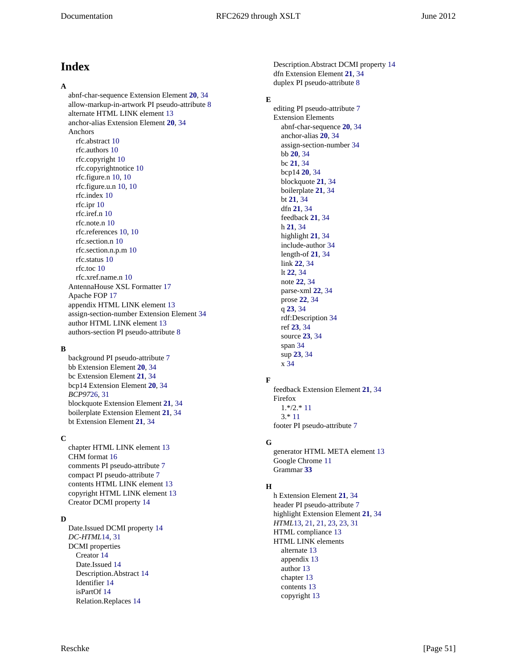# <span id="page-50-0"></span>**Index**

### **A**

abnf-char-sequence Extension Element **[20](#page-19-5)**, [34](#page-33-27) allow-markup-in-artwork PI pseudo-attribute [8](#page-7-2) alternate HTML LINK element [13](#page-12-4) anchor-alias Extension Element **[20](#page-19-6)**, [34](#page-33-27) Anchors rfc.abstract [10](#page-9-1) rfc.authors [10](#page-9-1) rfc.copyright [10](#page-9-1) rfc.copyrightnotice [10](#page-9-1) rfc.figure.n [10, 10](#page-9-1) rfc.figure.u.n [10](#page-9-1), [10](#page-9-1) rfc.index [10](#page-9-1) rfc.ipr [10](#page-9-1) rfc.iref.n [10](#page-9-1) rfc.note.n [10](#page-9-1) rfc.references [10](#page-9-1), [10](#page-9-1) rfc.section.n [10](#page-9-1) rfc.section.n.p.m [10](#page-9-1) rfc.status [10](#page-9-1) rfc.toc [10](#page-9-1) rfc.xref.name.n [10](#page-9-1) AntennaHouse XSL Formatter [17](#page-16-5) Apache FOP [17](#page-16-6) appendix HTML LINK element [13](#page-12-4) assign-section-number Extension Element [34](#page-33-27) author HTML LINK element [13](#page-12-4) authors-section PI pseudo-attribute [8](#page-7-2)

### **B**

background PI pseudo-attribute [7](#page-6-2) bb Extension Element **[20](#page-19-7)**, [34](#page-33-27) bc Extension Element **[21](#page-20-9)**, [34](#page-33-27) bcp14 Extension Element **[20](#page-19-8)**, [34](#page-33-27) *BCP97*[26](#page-25-2), [31](#page-30-10) blockquote Extension Element **[21](#page-20-10)**, [34](#page-33-27) boilerplate Extension Element **[21](#page-20-11)**, [34](#page-33-27) bt Extension Element **[21](#page-20-12)**, [34](#page-33-27)

### **C**

chapter HTML LINK element [13](#page-12-4) CHM format [16](#page-15-1) comments PI pseudo-attribute [7](#page-6-2) compact PI pseudo-attribute [7](#page-6-2) contents HTML LINK element [13](#page-12-4) copyright HTML LINK element [13](#page-12-4) Creator DCMI property [14](#page-13-2)

### **D**

Date.Issued DCMI property [14](#page-13-2) *DC-HTML*[14,](#page-13-3) [31](#page-30-4) DCMI properties Creator [14](#page-13-2) Date.Issued [14](#page-13-2) Description.Abstract [14](#page-13-2) Identifier [14](#page-13-2) isPartOf [14](#page-13-2) Relation.Replaces [14](#page-13-2)

Description.Abstract DCMI property [14](#page-13-2) dfn Extension Element **[21](#page-20-13)**, [34](#page-33-27) duplex PI pseudo-attribute [8](#page-7-2)

### **E**

editing PI pseudo-attribute [7](#page-6-2) Extension Elements abnf-char-sequence **[20](#page-19-5)**, [34](#page-33-27) anchor-alias **[20](#page-19-6)**, [34](#page-33-27) assign-section-number [34](#page-33-27) bb **[20](#page-19-7)**, [34](#page-33-27) bc **[21](#page-20-9)**, [34](#page-33-27) bcp14 **[20](#page-19-8)**, [34](#page-33-27) blockquote **[21](#page-20-10)**, [34](#page-33-27) boilerplate **[21](#page-20-11)**, [34](#page-33-27) bt **[21](#page-20-12)**, [34](#page-33-27) dfn **[21](#page-20-13)**, [34](#page-33-27) feedback **[21](#page-20-14)**, [34](#page-33-27) h **[21](#page-20-15)**, [34](#page-33-27) highlight **[21](#page-20-16)**, [34](#page-33-27) include-author [34](#page-33-27) length-of **[21](#page-20-17)**, [34](#page-33-27) link **[22](#page-21-5)**, [34](#page-33-27) lt **[22](#page-21-6)**, [34](#page-33-27) note **[22](#page-21-7)**, [34](#page-33-27) parse-xml **[22](#page-21-8)**, [34](#page-33-27) prose **[22](#page-21-9)**, [34](#page-33-27) q **[23](#page-22-4)**, [34](#page-33-27) rdf:Description [34](#page-33-27) ref **[23](#page-22-5)**, [34](#page-33-27) source **[23](#page-22-6)**, [34](#page-33-27) span [34](#page-33-27) sup **[23](#page-22-7)**, [34](#page-33-27) x [34](#page-33-27)

### **F**

feedback Extension Element **[21](#page-20-14)**, [34](#page-33-27) Firefox 1.\*/2.\* [11](#page-10-3) 3.\* [11](#page-10-4) footer PI pseudo-attribute [7](#page-6-2)

### **G**

generator HTML META element [13](#page-12-5) Google Chrome [11](#page-10-5) Grammar **[33](#page-32-1)**

### **H**

h Extension Element **[21](#page-20-15)**, [34](#page-33-27) header PI pseudo-attribute [7](#page-6-2) highlight Extension Element **[21](#page-20-16)**, [34](#page-33-27) *HTML*[13](#page-12-6), [21,](#page-20-18) [21](#page-20-19), [23,](#page-22-8) [23](#page-22-9), [31](#page-30-2) HTML compliance [13](#page-12-7) HTML LINK elements alternate [13](#page-12-4) appendix [13](#page-12-4) author [13](#page-12-4) chapter [13](#page-12-4) contents [13](#page-12-4) copyright [13](#page-12-4)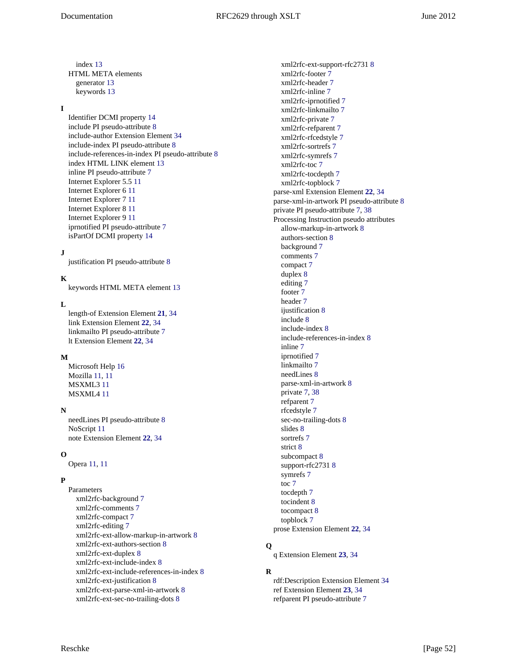index [13](#page-12-4) HTML META elements generator [13](#page-12-5) keywords [13](#page-12-5)

#### **I**

Identifier DCMI property [14](#page-13-2) include PI pseudo-attribute [8](#page-7-3) include-author Extension Element [34](#page-33-27) include-index PI pseudo-attribute [8](#page-7-2) include-references-in-index PI pseudo-attribute [8](#page-7-2) index HTML LINK element [13](#page-12-4) inline PI pseudo-attribute [7](#page-6-2) Internet Explorer 5.5 [11](#page-10-6) Internet Explorer 6 [11](#page-10-7) Internet Explorer 7 [11](#page-10-7) Internet Explorer 8 [11](#page-10-7) Internet Explorer 9 [11](#page-10-7) iprnotified PI pseudo-attribute [7](#page-6-2) isPartOf DCMI property [14](#page-13-2)

#### **J**

justification PI pseudo-attribute [8](#page-7-2)

### **K**

keywords HTML META element [13](#page-12-5)

#### **L**

length-of Extension Element **[21](#page-20-17)**, [34](#page-33-27) link Extension Element **[22](#page-21-5)**, [34](#page-33-27) linkmailto PI pseudo-attribute [7](#page-6-2) lt Extension Element **[22](#page-21-6)**, [34](#page-33-27)

#### **M**

Microsoft Help [16](#page-15-2) Mozilla [11](#page-10-4), [11](#page-10-3) MSXML3 [11](#page-10-8) MSXML4 [11](#page-10-8)

#### **N**

needLines PI pseudo-attribute [8](#page-7-3) NoScript [11](#page-10-9) note Extension Element **[22](#page-21-7)**, [34](#page-33-27)

### **O**

Opera [11](#page-10-10), [11](#page-10-11)

### **P**

Parameters xml2rfc-background [7](#page-6-2) xml2rfc-comments [7](#page-6-2) xml2rfc-compact [7](#page-6-2) xml2rfc-editing [7](#page-6-2) xml2rfc-ext-allow-markup-in-artwork [8](#page-7-2) xml2rfc-ext-authors-section [8](#page-7-2) xml2rfc-ext-duplex [8](#page-7-2) xml2rfc-ext-include-index [8](#page-7-2) xml2rfc-ext-include-references-in-index [8](#page-7-2) xml2rfc-ext-justification [8](#page-7-2) xml2rfc-ext-parse-xml-in-artwork [8](#page-7-2) xml2rfc-ext-sec-no-trailing-dots [8](#page-7-2)

xml2rfc-ext-support-rfc2731 [8](#page-7-2) xml2rfc-footer [7](#page-6-2) xml2rfc-header [7](#page-6-2) xml2rfc-inline [7](#page-6-2) xml2rfc-iprnotified [7](#page-6-2) xml2rfc-linkmailto [7](#page-6-2) xml2rfc-private [7](#page-6-2) xml2rfc-refparent [7](#page-6-2) xml2rfc-rfcedstyle [7](#page-6-2) xml2rfc-sortrefs [7](#page-6-2) xml2rfc-symrefs [7](#page-6-2) xml2rfc-toc [7](#page-6-2) xml2rfc-tocdepth [7](#page-6-2) xml2rfc-topblock [7](#page-6-2) parse-xml Extension Element **[22](#page-21-8)**, [34](#page-33-27) parse-xml-in-artwork PI pseudo-attribute [8](#page-7-2) private PI pseudo-attribute [7,](#page-6-2) [38](#page-37-5) Processing Instruction pseudo attributes allow-markup-in-artwork [8](#page-7-2) authors-section [8](#page-7-2) background [7](#page-6-2) comments [7](#page-6-2) compact [7](#page-6-2) duplex [8](#page-7-2) editing [7](#page-6-2) footer [7](#page-6-2) header [7](#page-6-2) ijustification [8](#page-7-2) include [8](#page-7-3) include-index [8](#page-7-2) include-references-in-index [8](#page-7-2) inline [7](#page-6-2) iprnotified [7](#page-6-2) linkmailto [7](#page-6-2) needLines [8](#page-7-3) parse-xml-in-artwork [8](#page-7-2) private [7,](#page-6-2) [38](#page-37-5) refparent [7](#page-6-2) rfcedstyle [7](#page-6-2) sec-no-trailing-dots [8](#page-7-2) slides [8](#page-7-3) sortrefs [7](#page-6-2) strict [8](#page-7-3) subcompact [8](#page-7-3) support-rfc2731 [8](#page-7-2) symrefs [7](#page-6-2) toc [7](#page-6-2) tocdepth [7](#page-6-2) tocindent [8](#page-7-3) tocompact [8](#page-7-3) topblock [7](#page-6-2) prose Extension Element **[22](#page-21-9)**, [34](#page-33-27)

### **Q**

q Extension Element **[23](#page-22-4)**, [34](#page-33-27)

#### **R**

rdf:Description Extension Element [34](#page-33-27) ref Extension Element **[23](#page-22-5)**, [34](#page-33-27) refparent PI pseudo-attribute [7](#page-6-2)